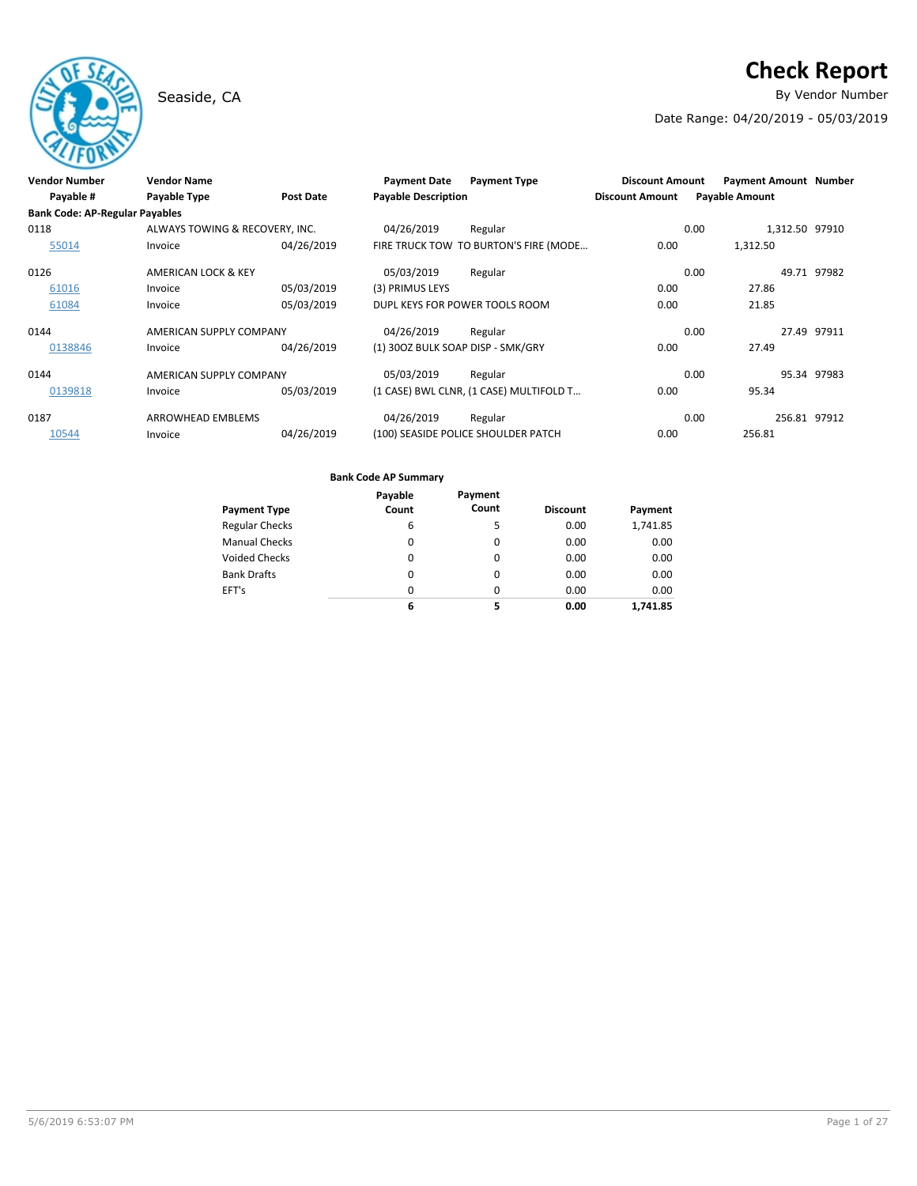# **Check Report**

Seaside, CA **By Vendor Number** 

Date Range: 04/20/2019 - 05/03/2019

| <b>Vendor Number</b>                  | <b>Vendor Name</b>             |            | <b>Payment Date</b>               | <b>Payment Type</b>                     | <b>Discount Amount</b> | <b>Payment Amount Number</b> |                |             |
|---------------------------------------|--------------------------------|------------|-----------------------------------|-----------------------------------------|------------------------|------------------------------|----------------|-------------|
| Payable #                             | <b>Payable Type</b>            | Post Date  | <b>Payable Description</b>        |                                         | <b>Discount Amount</b> | <b>Payable Amount</b>        |                |             |
| <b>Bank Code: AP-Regular Payables</b> |                                |            |                                   |                                         |                        |                              |                |             |
| 0118                                  | ALWAYS TOWING & RECOVERY, INC. |            | 04/26/2019                        | Regular                                 |                        | 0.00                         | 1,312.50 97910 |             |
| 55014                                 | Invoice                        | 04/26/2019 |                                   | FIRE TRUCK TOW TO BURTON'S FIRE (MODE   | 0.00                   | 1,312.50                     |                |             |
| 0126                                  | AMERICAN LOCK & KEY            |            | 05/03/2019                        | Regular                                 |                        | 0.00                         |                | 49.71 97982 |
| 61016                                 | Invoice                        | 05/03/2019 | (3) PRIMUS LEYS                   |                                         | 0.00                   | 27.86                        |                |             |
| 61084                                 | Invoice                        | 05/03/2019 | DUPL KEYS FOR POWER TOOLS ROOM    |                                         | 0.00                   | 21.85                        |                |             |
| 0144                                  | AMERICAN SUPPLY COMPANY        |            | 04/26/2019                        | Regular                                 |                        | 0.00                         |                | 27.49 97911 |
| 0138846                               | Invoice                        | 04/26/2019 | (1) 300Z BULK SOAP DISP - SMK/GRY |                                         | 0.00                   | 27.49                        |                |             |
| 0144                                  | AMERICAN SUPPLY COMPANY        |            | 05/03/2019                        | Regular                                 |                        | 0.00                         |                | 95.34 97983 |
| 0139818                               | Invoice                        | 05/03/2019 |                                   | (1 CASE) BWL CLNR, (1 CASE) MULTIFOLD T | 0.00                   | 95.34                        |                |             |
| 0187                                  | ARROWHEAD EMBLEMS              |            | 04/26/2019                        | Regular                                 |                        | 0.00                         | 256.81 97912   |             |
| 10544                                 | Invoice                        | 04/26/2019 |                                   | (100) SEASIDE POLICE SHOULDER PATCH     | 0.00                   | 256.81                       |                |             |

|                       | Payable  | Payment  |                 |          |
|-----------------------|----------|----------|-----------------|----------|
| <b>Payment Type</b>   | Count    | Count    | <b>Discount</b> | Payment  |
| <b>Regular Checks</b> | 6        | 5        | 0.00            | 1,741.85 |
| <b>Manual Checks</b>  | 0        | 0        | 0.00            | 0.00     |
| <b>Voided Checks</b>  | 0        | $\Omega$ | 0.00            | 0.00     |
| <b>Bank Drafts</b>    | 0        | 0        | 0.00            | 0.00     |
| EFT's                 | $\Omega$ | 0        | 0.00            | 0.00     |
|                       | 6        | 5        | 0.00            | 1.741.85 |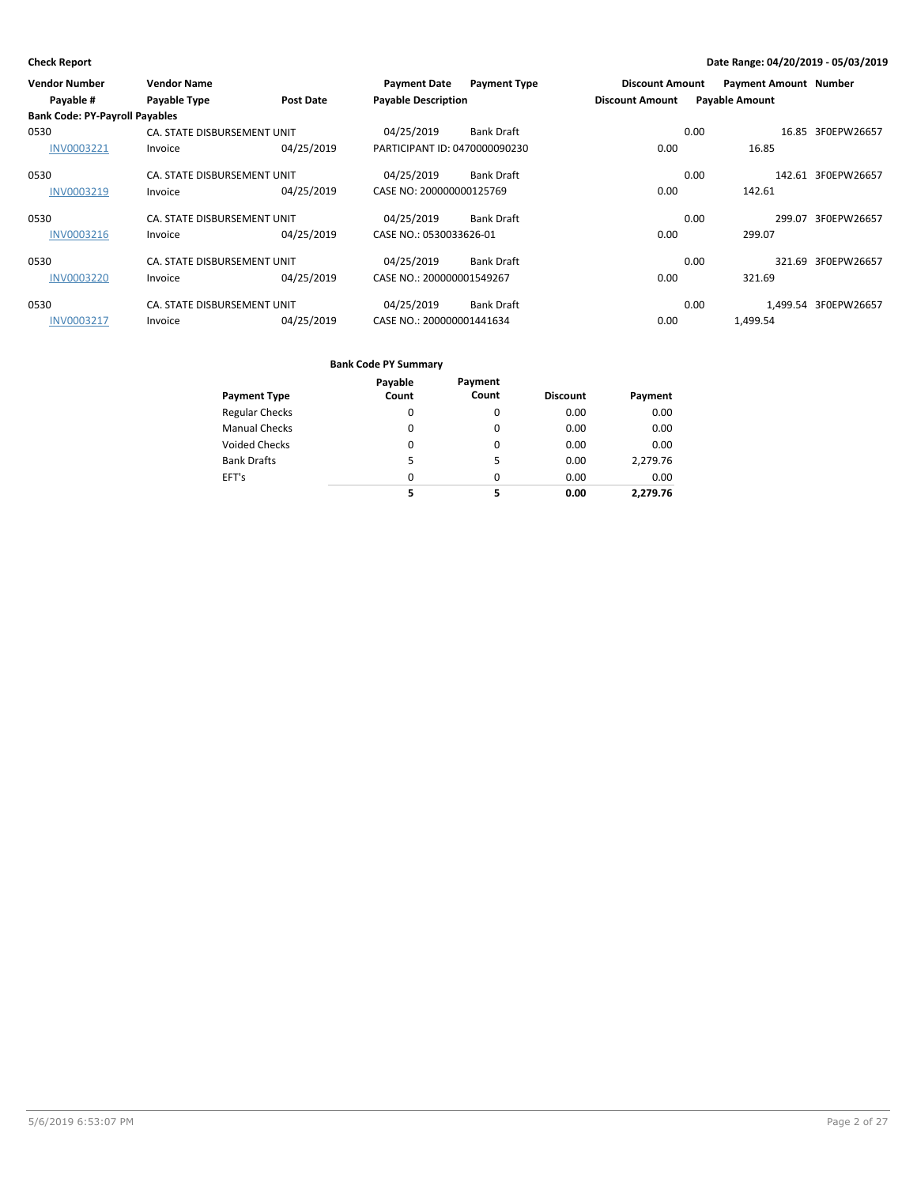| <b>Vendor Number</b>                  | <b>Vendor Name</b>          |                  | <b>Payment Date</b>           | <b>Payment Type</b> | <b>Discount Amount</b> |                       | <b>Payment Amount Number</b> |                      |
|---------------------------------------|-----------------------------|------------------|-------------------------------|---------------------|------------------------|-----------------------|------------------------------|----------------------|
| Payable #                             | <b>Payable Type</b>         | <b>Post Date</b> | <b>Payable Description</b>    |                     | <b>Discount Amount</b> | <b>Payable Amount</b> |                              |                      |
| <b>Bank Code: PY-Payroll Payables</b> |                             |                  |                               |                     |                        |                       |                              |                      |
| 0530                                  | CA. STATE DISBURSEMENT UNIT |                  | 04/25/2019                    | <b>Bank Draft</b>   |                        | 0.00                  |                              | 16.85 3F0EPW26657    |
| INV0003221                            | Invoice                     | 04/25/2019       | PARTICIPANT ID: 0470000090230 |                     | 0.00                   |                       | 16.85                        |                      |
| 0530                                  | CA. STATE DISBURSEMENT UNIT |                  | 04/25/2019                    | <b>Bank Draft</b>   |                        | 0.00                  |                              | 142.61 3F0EPW26657   |
| INV0003219                            | Invoice                     | 04/25/2019       | CASE NO: 200000000125769      |                     | 0.00                   | 142.61                |                              |                      |
| 0530                                  | CA. STATE DISBURSEMENT UNIT |                  | 04/25/2019                    | <b>Bank Draft</b>   |                        | 0.00                  | 299.07                       | 3F0EPW26657          |
| INV0003216                            | Invoice                     | 04/25/2019       | CASE NO.: 0530033626-01       |                     | 0.00                   | 299.07                |                              |                      |
| 0530                                  | CA. STATE DISBURSEMENT UNIT |                  | 04/25/2019                    | <b>Bank Draft</b>   |                        | 0.00                  |                              | 321.69 3F0EPW26657   |
| <b>INV0003220</b>                     | Invoice                     | 04/25/2019       | CASE NO.: 200000001549267     |                     | 0.00                   | 321.69                |                              |                      |
| 0530                                  | CA. STATE DISBURSEMENT UNIT |                  | 04/25/2019                    | <b>Bank Draft</b>   |                        | 0.00                  |                              | 1.499.54 3F0EPW26657 |
| <b>INV0003217</b>                     | Invoice                     | 04/25/2019       | CASE NO.: 200000001441634     |                     | 0.00                   | 1,499.54              |                              |                      |

|                       | Payable | Payment  |                 |          |
|-----------------------|---------|----------|-----------------|----------|
| <b>Payment Type</b>   | Count   | Count    | <b>Discount</b> | Payment  |
| <b>Regular Checks</b> | 0       | 0        | 0.00            | 0.00     |
| <b>Manual Checks</b>  | 0       | $\Omega$ | 0.00            | 0.00     |
| <b>Voided Checks</b>  | 0       | 0        | 0.00            | 0.00     |
| <b>Bank Drafts</b>    | 5       | 5        | 0.00            | 2,279.76 |
| EFT's                 | 0       | $\Omega$ | 0.00            | 0.00     |
|                       | 5       | 5        | 0.00            | 2,279.76 |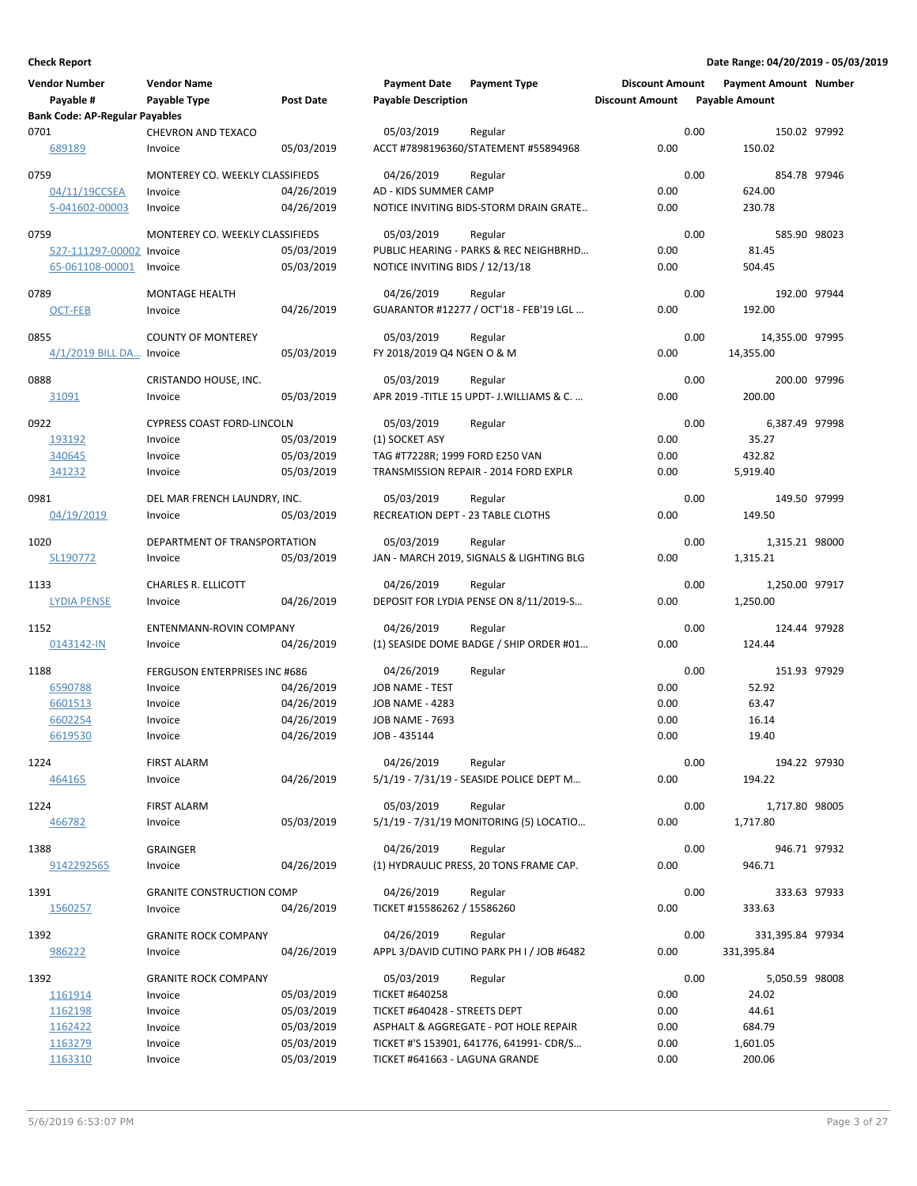| <b>Vendor Number</b><br>Payable #     | <b>Vendor Name</b><br>Payable Type     | Post Date  | <b>Payment Date</b><br><b>Payable Description</b> | <b>Payment Type</b>                                  | <b>Discount Amount</b><br><b>Discount Amount</b> | <b>Payment Amount Number</b><br><b>Payable Amount</b> |              |
|---------------------------------------|----------------------------------------|------------|---------------------------------------------------|------------------------------------------------------|--------------------------------------------------|-------------------------------------------------------|--------------|
| <b>Bank Code: AP-Regular Payables</b> |                                        |            |                                                   |                                                      |                                                  |                                                       |              |
| 0701                                  | <b>CHEVRON AND TEXACO</b>              |            | 05/03/2019                                        | Regular                                              |                                                  | 0.00                                                  | 150.02 97992 |
| 689189                                | Invoice                                | 05/03/2019 |                                                   | ACCT #7898196360/STATEMENT #55894968                 | 0.00                                             | 150.02                                                |              |
| 0759                                  | MONTEREY CO. WEEKLY CLASSIFIEDS        |            | 04/26/2019                                        | Regular                                              |                                                  | 0.00                                                  | 854.78 97946 |
| 04/11/19CCSEA                         | Invoice                                | 04/26/2019 | AD - KIDS SUMMER CAMP                             |                                                      | 0.00                                             | 624.00                                                |              |
| 5-041602-00003                        | Invoice                                | 04/26/2019 |                                                   | NOTICE INVITING BIDS-STORM DRAIN GRATE               | 0.00                                             | 230.78                                                |              |
| 0759                                  | MONTEREY CO. WEEKLY CLASSIFIEDS        |            | 05/03/2019                                        | Regular                                              |                                                  | 0.00                                                  | 585.90 98023 |
| 527-111297-00002                      | Invoice                                | 05/03/2019 |                                                   | PUBLIC HEARING - PARKS & REC NEIGHBRHD               | 0.00                                             | 81.45                                                 |              |
| 65-061108-00001                       | Invoice                                | 05/03/2019 | NOTICE INVITING BIDS / 12/13/18                   |                                                      | 0.00                                             | 504.45                                                |              |
| 0789                                  | <b>MONTAGE HEALTH</b>                  |            | 04/26/2019                                        | Regular                                              |                                                  | 0.00                                                  | 192.00 97944 |
| OCT-FEB                               | Invoice                                | 04/26/2019 |                                                   | GUARANTOR #12277 / OCT'18 - FEB'19 LGL               | 0.00                                             | 192.00                                                |              |
| 0855                                  | <b>COUNTY OF MONTEREY</b>              |            | 05/03/2019                                        | Regular                                              |                                                  | 0.00<br>14,355.00 97995                               |              |
| 4/1/2019 BILL DA Invoice              |                                        | 05/03/2019 | FY 2018/2019 Q4 NGEN O & M                        |                                                      | 0.00                                             | 14,355.00                                             |              |
| 0888                                  | CRISTANDO HOUSE, INC.                  |            | 05/03/2019                                        | Regular                                              |                                                  | 0.00                                                  | 200.00 97996 |
| 31091                                 | Invoice                                | 05/03/2019 |                                                   | APR 2019 - TITLE 15 UPDT - J. WILLIAMS & C.          | 0.00                                             | 200.00                                                |              |
| 0922                                  | <b>CYPRESS COAST FORD-LINCOLN</b>      |            | 05/03/2019                                        | Regular                                              |                                                  | 0.00<br>6,387.49 97998                                |              |
| 193192                                | Invoice                                | 05/03/2019 | (1) SOCKET ASY                                    |                                                      | 0.00                                             | 35.27                                                 |              |
| 340645                                | Invoice                                | 05/03/2019 | TAG #T7228R; 1999 FORD E250 VAN                   |                                                      | 0.00                                             | 432.82                                                |              |
| 341232                                | Invoice                                | 05/03/2019 |                                                   | TRANSMISSION REPAIR - 2014 FORD EXPLR                | 0.00                                             | 5,919.40                                              |              |
| 0981                                  | DEL MAR FRENCH LAUNDRY, INC.           |            | 05/03/2019                                        | Regular                                              |                                                  | 0.00                                                  | 149.50 97999 |
| 04/19/2019                            | Invoice                                | 05/03/2019 | RECREATION DEPT - 23 TABLE CLOTHS                 |                                                      | 0.00                                             | 149.50                                                |              |
| 1020                                  | DEPARTMENT OF TRANSPORTATION           |            | 05/03/2019                                        | Regular                                              |                                                  | 0.00<br>1,315.21 98000                                |              |
| SL190772                              | Invoice                                | 05/03/2019 |                                                   | JAN - MARCH 2019, SIGNALS & LIGHTING BLG             | 0.00                                             | 1,315.21                                              |              |
| 1133                                  | CHARLES R. ELLICOTT                    |            | 04/26/2019                                        | Regular                                              |                                                  | 0.00<br>1,250.00 97917                                |              |
| <b>LYDIA PENSE</b>                    | Invoice                                | 04/26/2019 |                                                   | DEPOSIT FOR LYDIA PENSE ON 8/11/2019-S               | 0.00                                             | 1,250.00                                              |              |
| 1152                                  | ENTENMANN-ROVIN COMPANY                |            | 04/26/2019                                        | Regular                                              |                                                  | 0.00                                                  | 124.44 97928 |
| 0143142-IN                            | Invoice                                | 04/26/2019 |                                                   | (1) SEASIDE DOME BADGE / SHIP ORDER #01              | 0.00                                             | 124.44                                                |              |
| 1188                                  | <b>FERGUSON ENTERPRISES INC #686</b>   |            | 04/26/2019                                        | Regular                                              |                                                  | 0.00                                                  | 151.93 97929 |
| 6590788                               | Invoice                                | 04/26/2019 | JOB NAME - TEST                                   |                                                      | 0.00                                             | 52.92                                                 |              |
| 6601513                               | Invoice                                | 04/26/2019 | <b>JOB NAME - 4283</b>                            |                                                      | 0.00                                             | 63.47                                                 |              |
| 6602254                               | Invoice                                | 04/26/2019 | <b>JOB NAME - 7693</b>                            |                                                      | 0.00                                             | 16.14                                                 |              |
| 6619530                               | Invoice                                | 04/26/2019 | JOB - 435144                                      |                                                      | 0.00                                             | 19.40                                                 |              |
| 1224                                  | <b>FIRST ALARM</b>                     |            | 04/26/2019                                        | Regular                                              |                                                  | 0.00                                                  | 194.22 97930 |
| 464165                                | Invoice                                | 04/26/2019 |                                                   | 5/1/19 - 7/31/19 - SEASIDE POLICE DEPT M             | 0.00                                             | 194.22                                                |              |
| 1224                                  | <b>FIRST ALARM</b>                     |            | 05/03/2019                                        | Regular                                              |                                                  | 0.00<br>1,717.80 98005                                |              |
| 466782                                | Invoice                                | 05/03/2019 |                                                   | 5/1/19 - 7/31/19 MONITORING (5) LOCATIO              | 0.00                                             | 1,717.80                                              |              |
| 1388                                  | <b>GRAINGER</b>                        |            | 04/26/2019                                        | Regular                                              |                                                  | 0.00                                                  | 946.71 97932 |
| 9142292565                            | Invoice                                | 04/26/2019 |                                                   | (1) HYDRAULIC PRESS, 20 TONS FRAME CAP.              | 0.00                                             | 946.71                                                |              |
| 1391                                  | <b>GRANITE CONSTRUCTION COMP</b>       |            | 04/26/2019                                        | Regular                                              |                                                  | 0.00                                                  | 333.63 97933 |
| 1560257                               | Invoice                                | 04/26/2019 | TICKET #15586262 / 15586260                       |                                                      | 0.00                                             | 333.63                                                |              |
|                                       |                                        |            |                                                   |                                                      |                                                  |                                                       |              |
| 1392<br>986222                        | <b>GRANITE ROCK COMPANY</b><br>Invoice | 04/26/2019 | 04/26/2019                                        | Regular<br>APPL 3/DAVID CUTINO PARK PH I / JOB #6482 | 0.00                                             | 0.00<br>331,395.84 97934<br>331,395.84                |              |
|                                       |                                        |            |                                                   |                                                      |                                                  |                                                       |              |
| 1392<br>1161914                       | <b>GRANITE ROCK COMPANY</b><br>Invoice | 05/03/2019 | 05/03/2019<br><b>TICKET #640258</b>               | Regular                                              | 0.00                                             | 0.00<br>5,050.59 98008<br>24.02                       |              |
| 1162198                               | Invoice                                | 05/03/2019 | TICKET #640428 - STREETS DEPT                     |                                                      | 0.00                                             | 44.61                                                 |              |
| 1162422                               | Invoice                                | 05/03/2019 |                                                   | ASPHALT & AGGREGATE - POT HOLE REPAIR                | 0.00                                             | 684.79                                                |              |
| 1163279                               | Invoice                                | 05/03/2019 |                                                   | TICKET #'S 153901, 641776, 641991- CDR/S             | 0.00                                             | 1,601.05                                              |              |
| 1163310                               | Invoice                                | 05/03/2019 | TICKET #641663 - LAGUNA GRANDE                    |                                                      | 0.00                                             | 200.06                                                |              |
|                                       |                                        |            |                                                   |                                                      |                                                  |                                                       |              |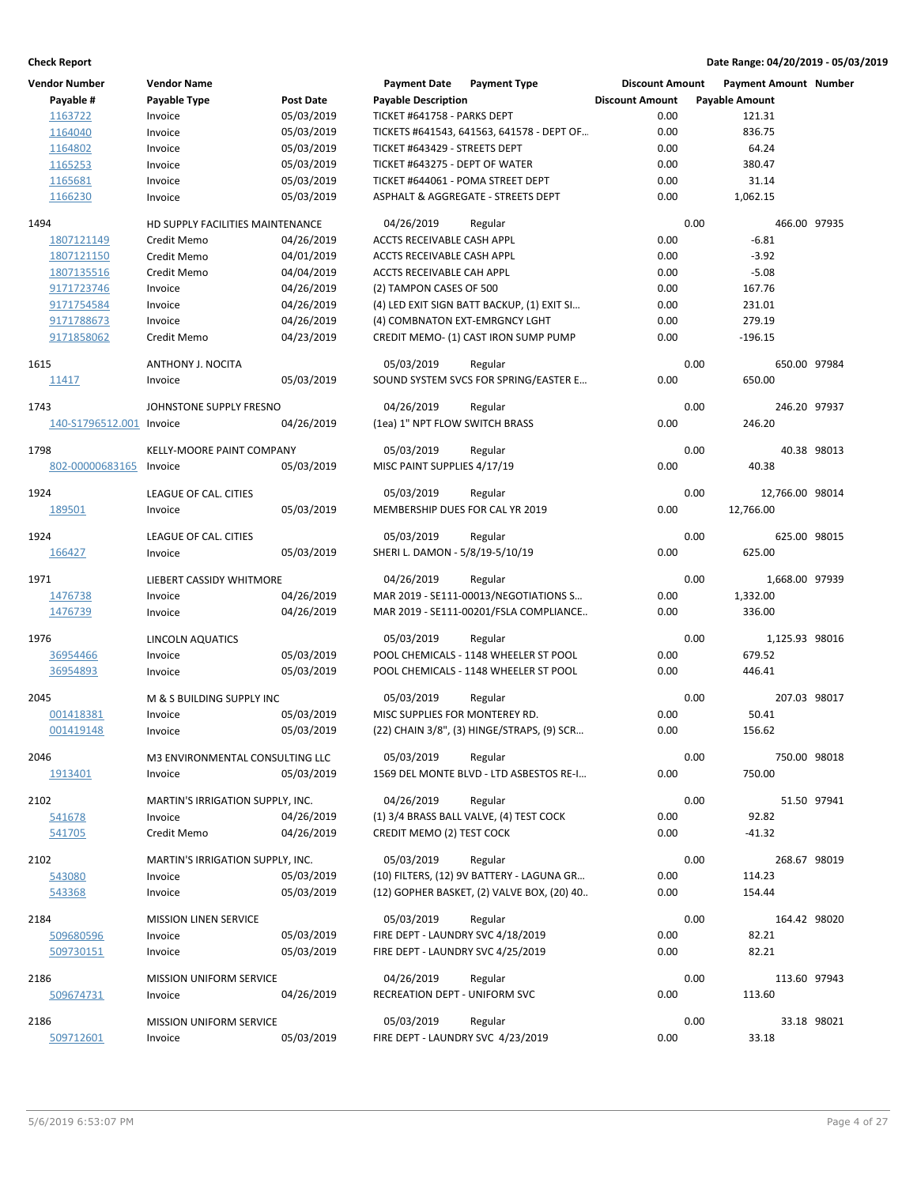| <b>Vendor Number</b> | <b>Vendor Name</b>                         |                  | <b>Payment Date</b>               | <b>Payment Type</b>                                | <b>Discount Amount</b> |      | <b>Payment Amount Number</b> |             |
|----------------------|--------------------------------------------|------------------|-----------------------------------|----------------------------------------------------|------------------------|------|------------------------------|-------------|
| Payable #            | <b>Payable Type</b>                        | <b>Post Date</b> | <b>Payable Description</b>        |                                                    | <b>Discount Amount</b> |      | <b>Payable Amount</b>        |             |
| 1163722              | Invoice                                    | 05/03/2019       | TICKET #641758 - PARKS DEPT       |                                                    | 0.00                   |      | 121.31                       |             |
| 1164040              | Invoice                                    | 05/03/2019       |                                   | TICKETS #641543, 641563, 641578 - DEPT OF          | 0.00                   |      | 836.75                       |             |
| 1164802              | Invoice                                    | 05/03/2019       | TICKET #643429 - STREETS DEPT     |                                                    | 0.00                   |      | 64.24                        |             |
| 1165253              | Invoice                                    | 05/03/2019       | TICKET #643275 - DEPT OF WATER    |                                                    | 0.00                   |      | 380.47                       |             |
| 1165681              | Invoice                                    | 05/03/2019       | TICKET #644061 - POMA STREET DEPT |                                                    | 0.00                   |      | 31.14                        |             |
| 1166230              | Invoice                                    | 05/03/2019       |                                   | ASPHALT & AGGREGATE - STREETS DEPT                 | 0.00                   |      | 1,062.15                     |             |
| 1494                 | HD SUPPLY FACILITIES MAINTENANCE           |                  | 04/26/2019                        | Regular                                            |                        | 0.00 | 466.00 97935                 |             |
| 1807121149           | Credit Memo                                | 04/26/2019       | ACCTS RECEIVABLE CASH APPL        |                                                    | 0.00                   |      | $-6.81$                      |             |
| 1807121150           | Credit Memo                                | 04/01/2019       | ACCTS RECEIVABLE CASH APPL        |                                                    | 0.00                   |      | $-3.92$                      |             |
| 1807135516           | Credit Memo                                | 04/04/2019       | ACCTS RECEIVABLE CAH APPL         |                                                    | 0.00                   |      | $-5.08$                      |             |
| 9171723746           | Invoice                                    | 04/26/2019       | (2) TAMPON CASES OF 500           |                                                    | 0.00                   |      | 167.76                       |             |
| 9171754584           | Invoice                                    | 04/26/2019       |                                   | (4) LED EXIT SIGN BATT BACKUP, (1) EXIT SI         | 0.00                   |      | 231.01                       |             |
| 9171788673           | Invoice                                    | 04/26/2019       | (4) COMBNATON EXT-EMRGNCY LGHT    |                                                    | 0.00                   |      | 279.19                       |             |
| 9171858062           | Credit Memo                                | 04/23/2019       |                                   | CREDIT MEMO- (1) CAST IRON SUMP PUMP               | 0.00                   |      | $-196.15$                    |             |
|                      |                                            |                  |                                   |                                                    |                        | 0.00 |                              |             |
| 1615                 | ANTHONY J. NOCITA<br>Invoice               | 05/03/2019       | 05/03/2019                        | Regular<br>SOUND SYSTEM SVCS FOR SPRING/EASTER E   | 0.00                   |      | 650.00 97984<br>650.00       |             |
| 11417                |                                            |                  |                                   |                                                    |                        |      |                              |             |
| 1743                 | JOHNSTONE SUPPLY FRESNO                    |                  | 04/26/2019                        | Regular                                            |                        | 0.00 | 246.20 97937                 |             |
| 140-S1796512.001     | Invoice                                    | 04/26/2019       | (1ea) 1" NPT FLOW SWITCH BRASS    |                                                    | 0.00                   |      | 246.20                       |             |
| 1798                 | <b>KELLY-MOORE PAINT COMPANY</b>           |                  | 05/03/2019                        | Regular                                            |                        | 0.00 |                              | 40.38 98013 |
| 802-00000683165      | Invoice                                    | 05/03/2019       | MISC PAINT SUPPLIES 4/17/19       |                                                    | 0.00                   |      | 40.38                        |             |
|                      |                                            |                  |                                   |                                                    |                        |      |                              |             |
| 1924                 | LEAGUE OF CAL. CITIES                      |                  | 05/03/2019                        | Regular                                            |                        | 0.00 | 12,766.00 98014              |             |
| 189501               | Invoice                                    | 05/03/2019       | MEMBERSHIP DUES FOR CAL YR 2019   |                                                    | 0.00                   |      | 12,766.00                    |             |
| 1924                 | LEAGUE OF CAL. CITIES                      |                  | 05/03/2019                        | Regular                                            |                        | 0.00 | 625.00 98015                 |             |
| 166427               | Invoice                                    | 05/03/2019       | SHERI L. DAMON - 5/8/19-5/10/19   |                                                    | 0.00                   |      | 625.00                       |             |
|                      |                                            |                  |                                   |                                                    |                        |      |                              |             |
| 1971                 | LIEBERT CASSIDY WHITMORE                   |                  | 04/26/2019                        | Regular                                            |                        | 0.00 | 1,668.00 97939               |             |
| 1476738              | Invoice                                    | 04/26/2019       |                                   | MAR 2019 - SE111-00013/NEGOTIATIONS S              | 0.00<br>0.00           |      | 1,332.00                     |             |
| 1476739              | Invoice                                    | 04/26/2019       |                                   | MAR 2019 - SE111-00201/FSLA COMPLIANCE             |                        |      | 336.00                       |             |
| 1976                 | LINCOLN AQUATICS                           |                  | 05/03/2019                        | Regular                                            |                        | 0.00 | 1,125.93 98016               |             |
| 36954466             | Invoice                                    | 05/03/2019       |                                   | POOL CHEMICALS - 1148 WHEELER ST POOL              | 0.00                   |      | 679.52                       |             |
| 36954893             | Invoice                                    | 05/03/2019       |                                   | POOL CHEMICALS - 1148 WHEELER ST POOL              | 0.00                   |      | 446.41                       |             |
| 2045                 | M & S BUILDING SUPPLY INC                  |                  | 05/03/2019                        | Regular                                            |                        | 0.00 | 207.03 98017                 |             |
| 001418381            | Invoice                                    | 05/03/2019       | MISC SUPPLIES FOR MONTEREY RD.    |                                                    | 0.00                   |      | 50.41                        |             |
| 001419148            | Invoice                                    | 05/03/2019       |                                   | (22) CHAIN 3/8", (3) HINGE/STRAPS, (9) SCR         | 0.00                   |      | 156.62                       |             |
|                      |                                            |                  |                                   |                                                    |                        |      |                              |             |
| 2046                 | M3 ENVIRONMENTAL CONSULTING LLC<br>Invoice | 05/03/2019       | 05/03/2019                        | Regular<br>1569 DEL MONTE BLVD - LTD ASBESTOS RE-I | 0.00                   | 0.00 | 750.00 98018<br>750.00       |             |
| 1913401              |                                            |                  |                                   |                                                    |                        |      |                              |             |
| 2102                 | MARTIN'S IRRIGATION SUPPLY, INC.           |                  | 04/26/2019                        | Regular                                            |                        | 0.00 |                              | 51.50 97941 |
| 541678               | Invoice                                    | 04/26/2019       |                                   | (1) 3/4 BRASS BALL VALVE, (4) TEST COCK            | 0.00                   |      | 92.82                        |             |
| 541705               | Credit Memo                                | 04/26/2019       | <b>CREDIT MEMO (2) TEST COCK</b>  |                                                    | 0.00                   |      | $-41.32$                     |             |
| 2102                 | MARTIN'S IRRIGATION SUPPLY, INC.           |                  | 05/03/2019                        | Regular                                            |                        | 0.00 | 268.67 98019                 |             |
| 543080               | Invoice                                    | 05/03/2019       |                                   | (10) FILTERS, (12) 9V BATTERY - LAGUNA GR          | 0.00                   |      | 114.23                       |             |
| 543368               | Invoice                                    | 05/03/2019       |                                   | (12) GOPHER BASKET, (2) VALVE BOX, (20) 40         | 0.00                   |      | 154.44                       |             |
|                      |                                            |                  |                                   |                                                    |                        |      |                              |             |
| 2184                 | <b>MISSION LINEN SERVICE</b>               |                  | 05/03/2019                        | Regular                                            |                        | 0.00 | 164.42 98020                 |             |
| 509680596            | Invoice                                    | 05/03/2019       | FIRE DEPT - LAUNDRY SVC 4/18/2019 |                                                    | 0.00                   |      | 82.21                        |             |
| 509730151            | Invoice                                    | 05/03/2019       | FIRE DEPT - LAUNDRY SVC 4/25/2019 |                                                    | 0.00                   |      | 82.21                        |             |
| 2186                 | <b>MISSION UNIFORM SERVICE</b>             |                  | 04/26/2019                        | Regular                                            |                        | 0.00 | 113.60 97943                 |             |
| 509674731            | Invoice                                    | 04/26/2019       | RECREATION DEPT - UNIFORM SVC     |                                                    | 0.00                   |      | 113.60                       |             |
| 2186                 | MISSION UNIFORM SERVICE                    |                  | 05/03/2019                        | Regular                                            |                        | 0.00 |                              | 33.18 98021 |
| 509712601            | Invoice                                    | 05/03/2019       | FIRE DEPT - LAUNDRY SVC 4/23/2019 |                                                    | 0.00                   |      | 33.18                        |             |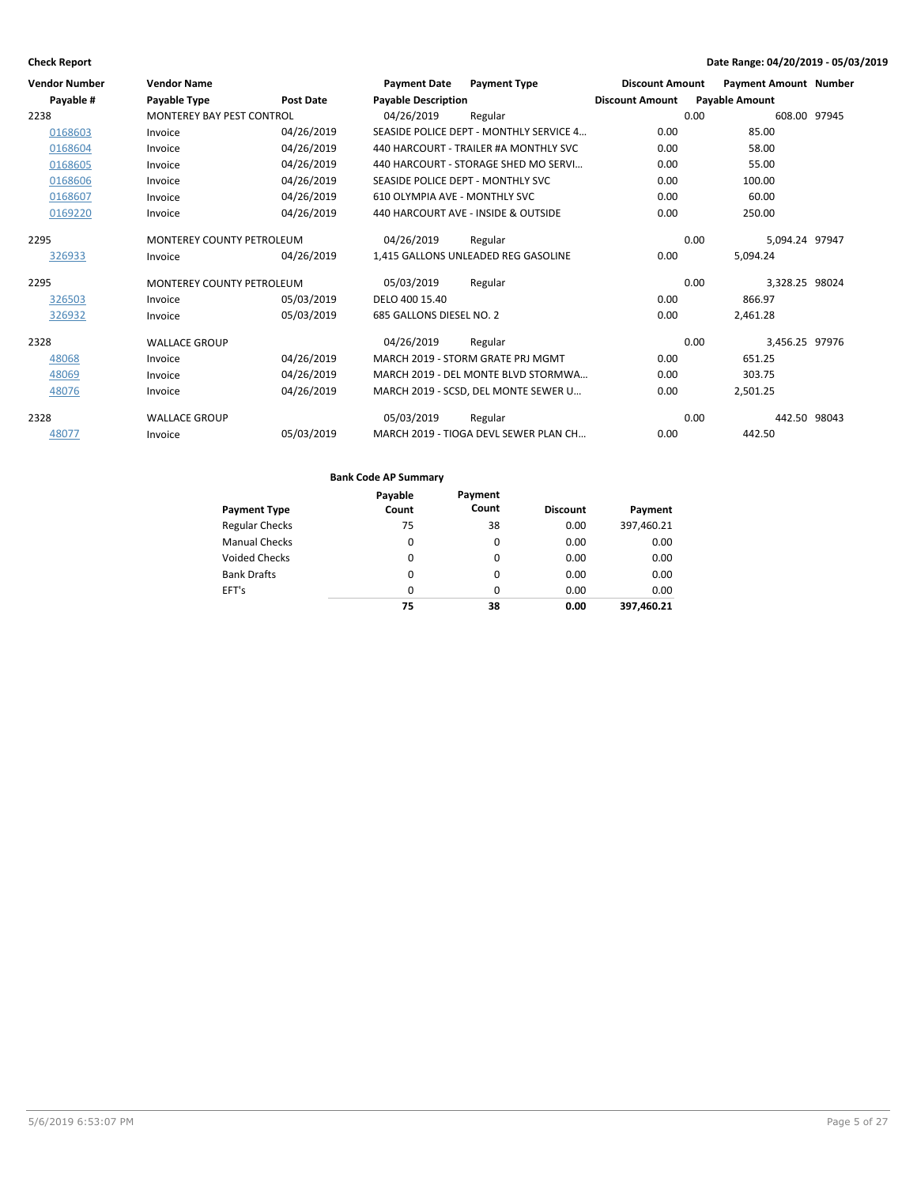| <b>Vendor Number</b> | <b>Vendor Name</b>               |                  | <b>Payment Date</b>           | <b>Payment Type</b>                     | <b>Discount Amount</b> | <b>Payment Amount Number</b> |  |
|----------------------|----------------------------------|------------------|-------------------------------|-----------------------------------------|------------------------|------------------------------|--|
| Payable #            | Payable Type                     | <b>Post Date</b> | <b>Payable Description</b>    |                                         | <b>Discount Amount</b> | <b>Payable Amount</b>        |  |
| 2238                 | <b>MONTEREY BAY PEST CONTROL</b> |                  | 04/26/2019                    | Regular                                 |                        | 0.00<br>608.00 97945         |  |
| 0168603              | Invoice                          | 04/26/2019       |                               | SEASIDE POLICE DEPT - MONTHLY SERVICE 4 | 0.00                   | 85.00                        |  |
| 0168604              | Invoice                          | 04/26/2019       |                               | 440 HARCOURT - TRAILER #A MONTHLY SVC   | 0.00                   | 58.00                        |  |
| 0168605              | Invoice                          | 04/26/2019       |                               | 440 HARCOURT - STORAGE SHED MO SERVI    | 0.00                   | 55.00                        |  |
| 0168606              | Invoice                          | 04/26/2019       |                               | SEASIDE POLICE DEPT - MONTHLY SVC       | 0.00                   | 100.00                       |  |
| 0168607              | Invoice                          | 04/26/2019       | 610 OLYMPIA AVE - MONTHLY SVC |                                         | 0.00                   | 60.00                        |  |
| 0169220              | Invoice                          | 04/26/2019       |                               | 440 HARCOURT AVE - INSIDE & OUTSIDE     | 0.00                   | 250.00                       |  |
| 2295                 | <b>MONTEREY COUNTY PETROLEUM</b> |                  | 04/26/2019                    | Regular                                 |                        | 5,094.24 97947<br>0.00       |  |
| 326933               | Invoice                          | 04/26/2019       |                               | 1,415 GALLONS UNLEADED REG GASOLINE     | 0.00                   | 5,094.24                     |  |
| 2295                 | <b>MONTEREY COUNTY PETROLEUM</b> |                  | 05/03/2019                    | Regular                                 |                        | 0.00<br>3,328.25 98024       |  |
| 326503               | Invoice                          | 05/03/2019       | DELO 400 15.40                |                                         | 0.00                   | 866.97                       |  |
| 326932               | Invoice                          | 05/03/2019       | 685 GALLONS DIESEL NO. 2      |                                         | 0.00                   | 2,461.28                     |  |
| 2328                 | <b>WALLACE GROUP</b>             |                  | 04/26/2019                    | Regular                                 |                        | 0.00<br>3,456.25 97976       |  |
| 48068                | Invoice                          | 04/26/2019       |                               | MARCH 2019 - STORM GRATE PRJ MGMT       | 0.00                   | 651.25                       |  |
| 48069                | Invoice                          | 04/26/2019       |                               | MARCH 2019 - DEL MONTE BLVD STORMWA     | 0.00                   | 303.75                       |  |
| 48076                | Invoice                          | 04/26/2019       |                               | MARCH 2019 - SCSD, DEL MONTE SEWER U    | 0.00                   | 2,501.25                     |  |
| 2328                 | <b>WALLACE GROUP</b>             |                  | 05/03/2019                    | Regular                                 |                        | 0.00<br>442.50 98043         |  |
| 48077                | Invoice                          | 05/03/2019       |                               | MARCH 2019 - TIOGA DEVL SEWER PLAN CH   | 0.00                   | 442.50                       |  |

|                       | Payable | Payment  |                 |            |
|-----------------------|---------|----------|-----------------|------------|
| <b>Payment Type</b>   | Count   | Count    | <b>Discount</b> | Payment    |
| <b>Regular Checks</b> | 75      | 38       | 0.00            | 397,460.21 |
| <b>Manual Checks</b>  | 0       | $\Omega$ | 0.00            | 0.00       |
| <b>Voided Checks</b>  | 0       | $\Omega$ | 0.00            | 0.00       |
| <b>Bank Drafts</b>    | 0       | $\Omega$ | 0.00            | 0.00       |
| EFT's                 | 0       | $\Omega$ | 0.00            | 0.00       |
|                       | 75      | 38       | 0.00            | 397.460.21 |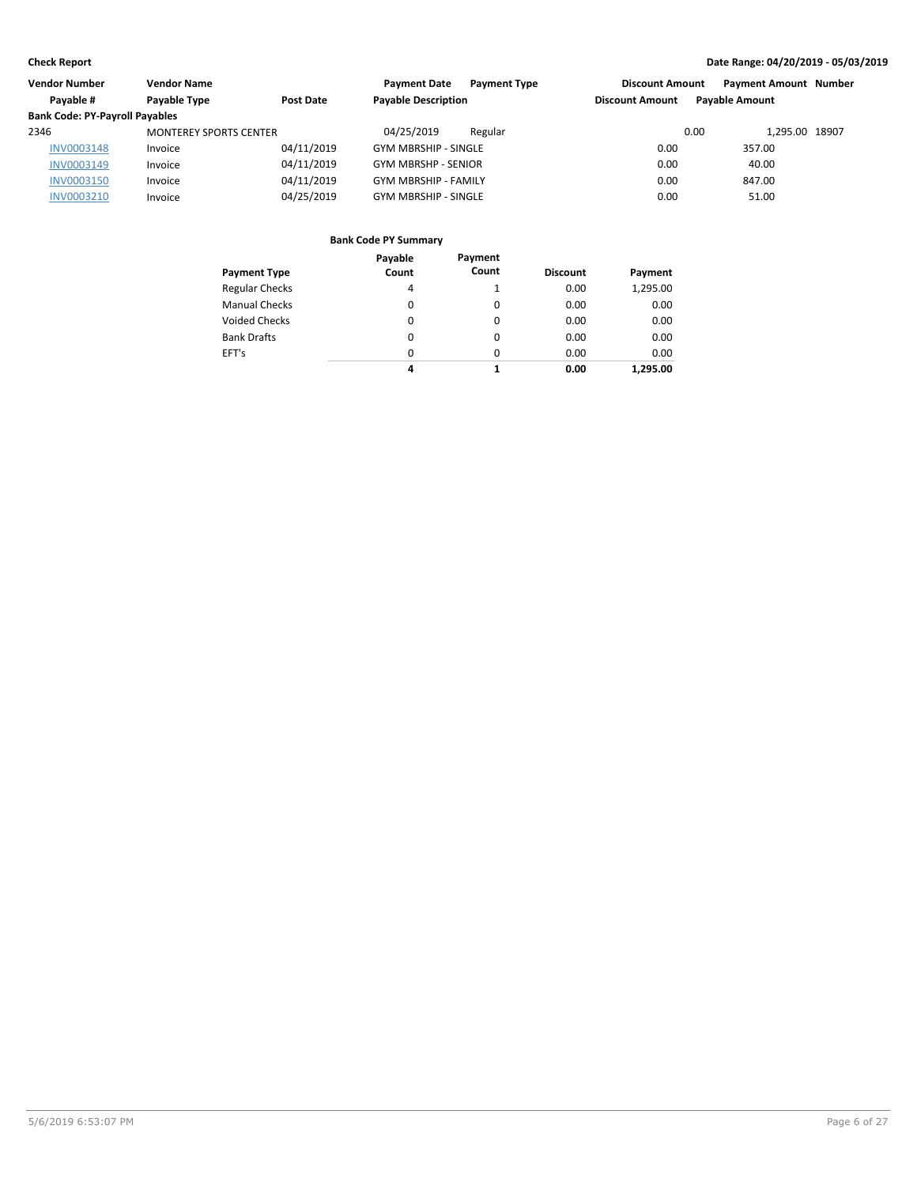| Vendor Number                         | <b>Vendor Name</b>            |            | <b>Payment Date</b><br><b>Payment Type</b> | <b>Discount Amount</b> | <b>Payment Amount Number</b> |  |
|---------------------------------------|-------------------------------|------------|--------------------------------------------|------------------------|------------------------------|--|
| Pavable #                             | Payable Type                  | Post Date  | <b>Payable Description</b>                 | <b>Discount Amount</b> | <b>Pavable Amount</b>        |  |
| <b>Bank Code: PY-Payroll Payables</b> |                               |            |                                            |                        |                              |  |
| 2346                                  | <b>MONTEREY SPORTS CENTER</b> |            | 04/25/2019<br>Regular                      | 0.00                   | 1.295.00 18907               |  |
| <b>INV0003148</b>                     | Invoice                       | 04/11/2019 | <b>GYM MBRSHIP - SINGLE</b>                | 0.00                   | 357.00                       |  |
| INV0003149                            | Invoice                       | 04/11/2019 | <b>GYM MBRSHP - SENIOR</b>                 | 0.00                   | 40.00                        |  |
| <b>INV0003150</b>                     | Invoice                       | 04/11/2019 | <b>GYM MBRSHIP - FAMILY</b>                | 0.00                   | 847.00                       |  |
| INV0003210                            | Invoice                       | 04/25/2019 | <b>GYM MBRSHIP - SINGLE</b>                | 0.00                   | 51.00                        |  |

| <b>Payment Type</b>   | Payable<br>Count | Payment<br>Count | <b>Discount</b> | Payment  |
|-----------------------|------------------|------------------|-----------------|----------|
| <b>Regular Checks</b> | 4                |                  | 0.00            | 1,295.00 |
| <b>Manual Checks</b>  | 0                | 0                | 0.00            | 0.00     |
| <b>Voided Checks</b>  | $\Omega$         | $\Omega$         | 0.00            | 0.00     |
| <b>Bank Drafts</b>    | 0                | 0                | 0.00            | 0.00     |
| EFT's                 | 0                | 0                | 0.00            | 0.00     |
|                       | 4                |                  | 0.00            | 1.295.00 |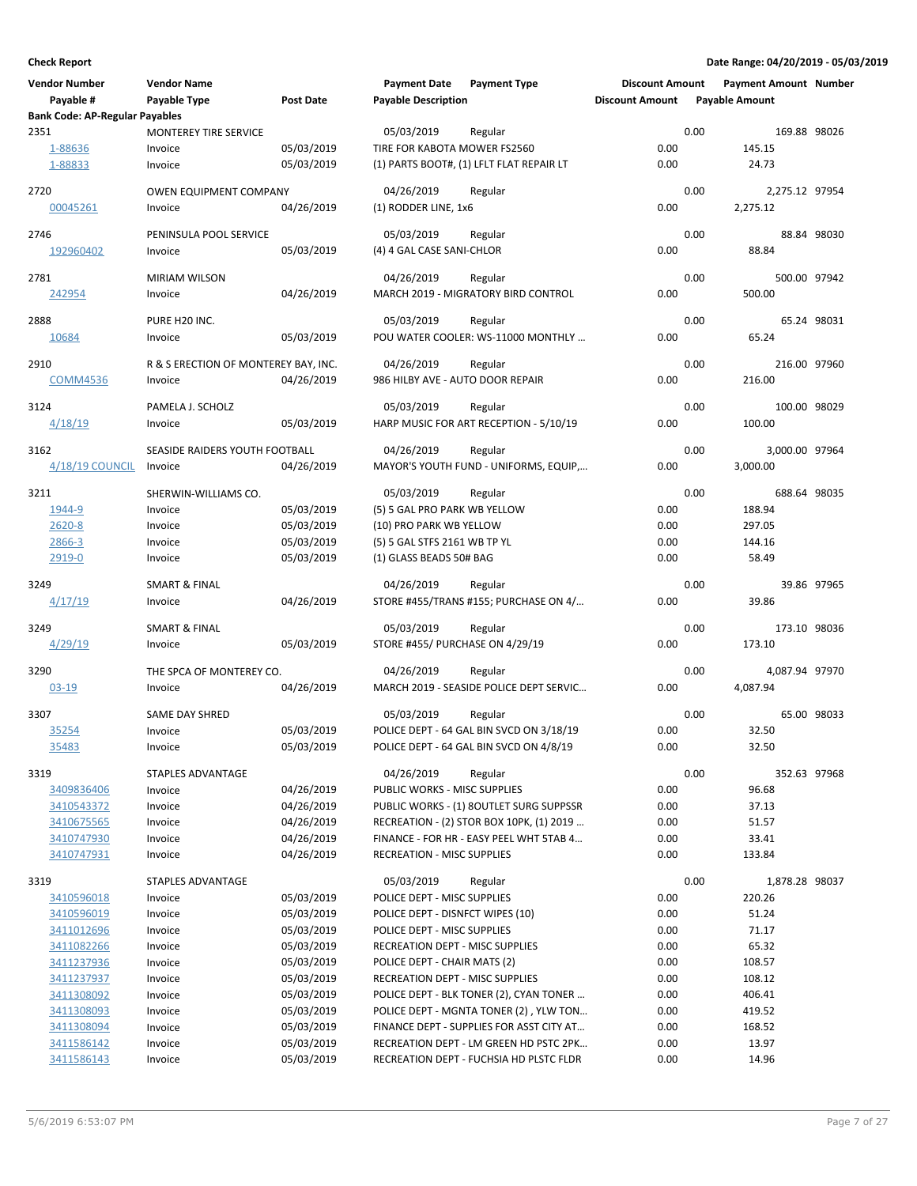| <b>Vendor Number</b>                  | <b>Vendor Name</b>                   |                          | <b>Payment Date</b>                                             | <b>Payment Type</b>                      | <b>Discount Amount</b> |      | <b>Payment Amount Number</b> |             |
|---------------------------------------|--------------------------------------|--------------------------|-----------------------------------------------------------------|------------------------------------------|------------------------|------|------------------------------|-------------|
| Payable #                             | Payable Type                         | Post Date                | <b>Payable Description</b>                                      |                                          | <b>Discount Amount</b> |      | <b>Payable Amount</b>        |             |
| <b>Bank Code: AP-Regular Payables</b> |                                      |                          |                                                                 |                                          |                        |      |                              |             |
| 2351                                  | <b>MONTEREY TIRE SERVICE</b>         |                          | 05/03/2019                                                      | Regular                                  |                        | 0.00 | 169.88 98026                 |             |
| 1-88636                               | Invoice                              | 05/03/2019               | TIRE FOR KABOTA MOWER FS2560                                    |                                          | 0.00                   |      | 145.15                       |             |
| 1-88833                               | Invoice                              | 05/03/2019               |                                                                 | (1) PARTS BOOT#, (1) LFLT FLAT REPAIR LT | 0.00                   |      | 24.73                        |             |
| 2720                                  | <b>OWEN EQUIPMENT COMPANY</b>        |                          | 04/26/2019                                                      | Regular                                  |                        | 0.00 | 2,275.12 97954               |             |
| 00045261                              | Invoice                              | 04/26/2019               | (1) RODDER LINE, 1x6                                            |                                          | 0.00                   |      | 2,275.12                     |             |
|                                       |                                      |                          |                                                                 |                                          |                        |      |                              |             |
| 2746                                  | PENINSULA POOL SERVICE               |                          | 05/03/2019                                                      | Regular                                  |                        | 0.00 |                              | 88.84 98030 |
| 192960402                             | Invoice                              | 05/03/2019               | (4) 4 GAL CASE SANI-CHLOR                                       |                                          | 0.00                   |      | 88.84                        |             |
| 2781                                  | <b>MIRIAM WILSON</b>                 |                          | 04/26/2019                                                      | Regular                                  |                        | 0.00 | 500.00 97942                 |             |
| 242954                                | Invoice                              | 04/26/2019               |                                                                 | MARCH 2019 - MIGRATORY BIRD CONTROL      | 0.00                   |      | 500.00                       |             |
|                                       |                                      |                          |                                                                 |                                          |                        |      |                              |             |
| 2888                                  | PURE H20 INC.                        |                          | 05/03/2019                                                      | Regular                                  |                        | 0.00 |                              | 65.24 98031 |
| 10684                                 | Invoice                              | 05/03/2019               |                                                                 | POU WATER COOLER: WS-11000 MONTHLY       | 0.00                   |      | 65.24                        |             |
| 2910                                  | R & S ERECTION OF MONTEREY BAY, INC. |                          | 04/26/2019                                                      | Regular                                  |                        | 0.00 | 216.00 97960                 |             |
| <b>COMM4536</b>                       | Invoice                              | 04/26/2019               | 986 HILBY AVE - AUTO DOOR REPAIR                                |                                          | 0.00                   |      | 216.00                       |             |
|                                       |                                      |                          |                                                                 |                                          |                        |      |                              |             |
| 3124                                  | PAMELA J. SCHOLZ                     |                          | 05/03/2019                                                      | Regular                                  |                        | 0.00 | 100.00 98029                 |             |
| 4/18/19                               | Invoice                              | 05/03/2019               |                                                                 | HARP MUSIC FOR ART RECEPTION - 5/10/19   | 0.00                   |      | 100.00                       |             |
| 3162                                  | SEASIDE RAIDERS YOUTH FOOTBALL       |                          | 04/26/2019                                                      | Regular                                  |                        | 0.00 | 3,000.00 97964               |             |
| 4/18/19 COUNCIL                       | Invoice                              | 04/26/2019               |                                                                 | MAYOR'S YOUTH FUND - UNIFORMS, EQUIP,    | 0.00                   |      | 3,000.00                     |             |
|                                       |                                      |                          |                                                                 |                                          |                        |      |                              |             |
| 3211                                  | SHERWIN-WILLIAMS CO.                 |                          | 05/03/2019                                                      | Regular                                  |                        | 0.00 | 688.64 98035                 |             |
| 1944-9<br>2620-8                      | Invoice<br>Invoice                   | 05/03/2019<br>05/03/2019 | (5) 5 GAL PRO PARK WB YELLOW<br>(10) PRO PARK WB YELLOW         |                                          | 0.00<br>0.00           |      | 188.94<br>297.05             |             |
| 2866-3                                | Invoice                              | 05/03/2019               | (5) 5 GAL STFS 2161 WB TP YL                                    |                                          | 0.00                   |      | 144.16                       |             |
| 2919-0                                | Invoice                              | 05/03/2019               | (1) GLASS BEADS 50# BAG                                         |                                          | 0.00                   |      | 58.49                        |             |
|                                       |                                      |                          |                                                                 |                                          |                        |      |                              |             |
| 3249                                  | <b>SMART &amp; FINAL</b>             |                          | 04/26/2019                                                      | Regular                                  |                        | 0.00 |                              | 39.86 97965 |
| 4/17/19                               | Invoice                              | 04/26/2019               |                                                                 | STORE #455/TRANS #155; PURCHASE ON 4/    | 0.00                   |      | 39.86                        |             |
| 3249                                  | <b>SMART &amp; FINAL</b>             |                          | 05/03/2019                                                      | Regular                                  |                        | 0.00 | 173.10 98036                 |             |
| 4/29/19                               | Invoice                              | 05/03/2019               | STORE #455/ PURCHASE ON 4/29/19                                 |                                          | 0.00                   |      | 173.10                       |             |
|                                       |                                      |                          |                                                                 |                                          |                        |      |                              |             |
| 3290                                  | THE SPCA OF MONTEREY CO.             |                          | 04/26/2019                                                      | Regular                                  |                        | 0.00 | 4,087.94 97970               |             |
| $03 - 19$                             | Invoice                              | 04/26/2019               |                                                                 | MARCH 2019 - SEASIDE POLICE DEPT SERVIC  | 0.00                   |      | 4,087.94                     |             |
| 3307                                  | <b>SAME DAY SHRED</b>                |                          | 05/03/2019                                                      | Regular                                  |                        | 0.00 |                              | 65.00 98033 |
| <u>35254</u>                          | Invoice                              | 05/03/2019               |                                                                 | POLICE DEPT - 64 GAL BIN SVCD ON 3/18/19 | 0.00                   |      | 32.50                        |             |
| 35483                                 | Invoice                              | 05/03/2019               |                                                                 | POLICE DEPT - 64 GAL BIN SVCD ON 4/8/19  | 0.00                   |      | 32.50                        |             |
|                                       |                                      |                          |                                                                 |                                          |                        |      |                              |             |
| 3319                                  | STAPLES ADVANTAGE                    |                          | 04/26/2019                                                      | Regular                                  |                        | 0.00 | 352.63 97968                 |             |
| 3409836406<br>3410543372              | Invoice<br>Invoice                   | 04/26/2019<br>04/26/2019 | PUBLIC WORKS - MISC SUPPLIES                                    | PUBLIC WORKS - (1) 8OUTLET SURG SUPPSSR  | 0.00<br>0.00           |      | 96.68<br>37.13               |             |
| 3410675565                            | Invoice                              | 04/26/2019               |                                                                 | RECREATION - (2) STOR BOX 10PK, (1) 2019 | 0.00                   |      | 51.57                        |             |
| 3410747930                            | Invoice                              | 04/26/2019               |                                                                 | FINANCE - FOR HR - EASY PEEL WHT 5TAB 4  | 0.00                   |      | 33.41                        |             |
| 3410747931                            | Invoice                              | 04/26/2019               | <b>RECREATION - MISC SUPPLIES</b>                               |                                          | 0.00                   |      | 133.84                       |             |
|                                       |                                      |                          |                                                                 |                                          |                        |      |                              |             |
| 3319                                  | STAPLES ADVANTAGE                    |                          | 05/03/2019                                                      | Regular                                  |                        | 0.00 | 1,878.28 98037               |             |
| 3410596018                            | Invoice                              | 05/03/2019               | POLICE DEPT - MISC SUPPLIES                                     |                                          | 0.00                   |      | 220.26                       |             |
| 3410596019                            | Invoice                              | 05/03/2019               | POLICE DEPT - DISNFCT WIPES (10)                                |                                          | 0.00                   |      | 51.24                        |             |
| 3411012696                            | Invoice                              | 05/03/2019               | POLICE DEPT - MISC SUPPLIES                                     |                                          | 0.00                   |      | 71.17                        |             |
| 3411082266<br>3411237936              | Invoice<br>Invoice                   | 05/03/2019<br>05/03/2019 | RECREATION DEPT - MISC SUPPLIES<br>POLICE DEPT - CHAIR MATS (2) |                                          | 0.00<br>0.00           |      | 65.32<br>108.57              |             |
| 3411237937                            | Invoice                              | 05/03/2019               | RECREATION DEPT - MISC SUPPLIES                                 |                                          | 0.00                   |      | 108.12                       |             |
| 3411308092                            | Invoice                              | 05/03/2019               |                                                                 | POLICE DEPT - BLK TONER (2), CYAN TONER  | 0.00                   |      | 406.41                       |             |
| 3411308093                            | Invoice                              | 05/03/2019               |                                                                 | POLICE DEPT - MGNTA TONER (2), YLW TON   | 0.00                   |      | 419.52                       |             |
| 3411308094                            | Invoice                              | 05/03/2019               |                                                                 | FINANCE DEPT - SUPPLIES FOR ASST CITY AT | 0.00                   |      | 168.52                       |             |
| 3411586142                            | Invoice                              | 05/03/2019               |                                                                 | RECREATION DEPT - LM GREEN HD PSTC 2PK   | 0.00                   |      | 13.97                        |             |
| 3411586143                            | Invoice                              | 05/03/2019               |                                                                 | RECREATION DEPT - FUCHSIA HD PLSTC FLDR  | 0.00                   |      | 14.96                        |             |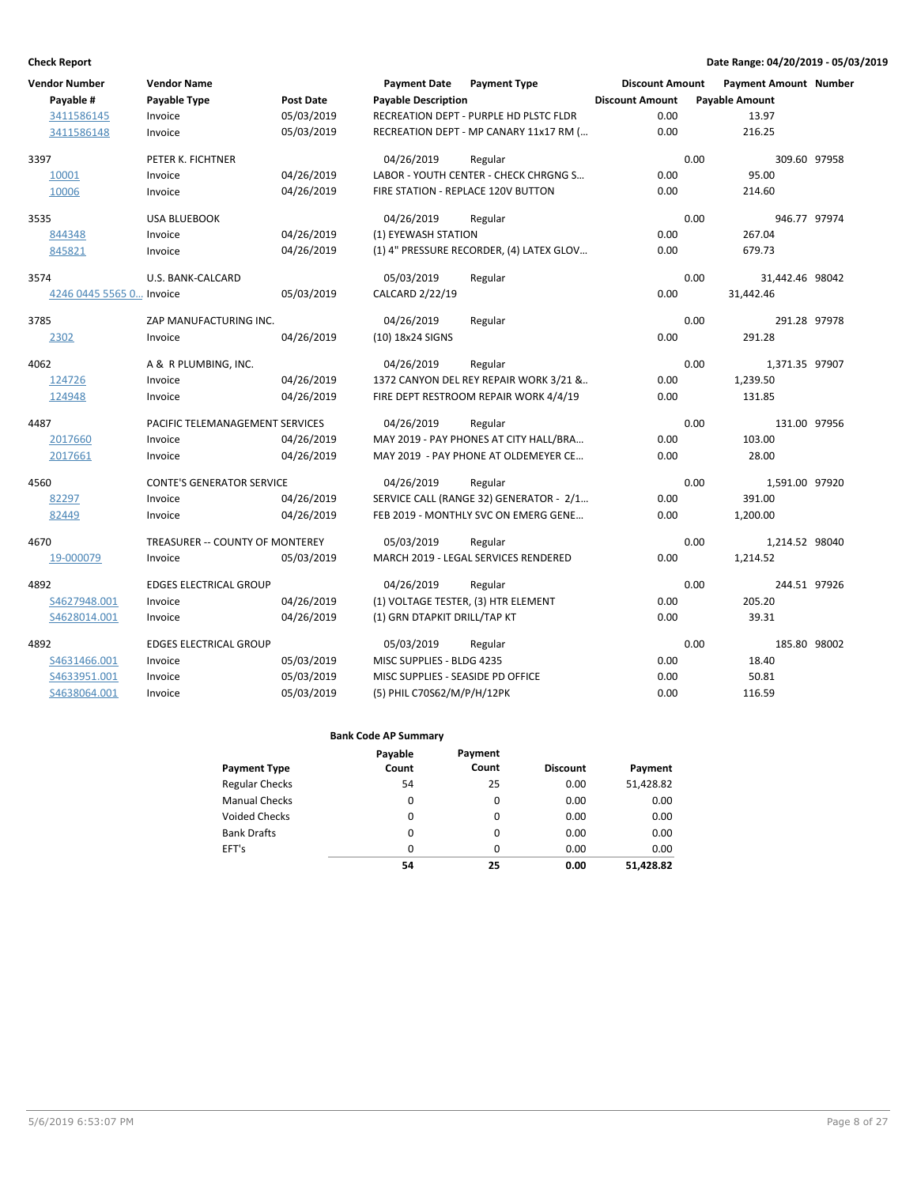| <b>Vendor Number</b>     | <b>Vendor Name</b>               |                  | <b>Payment Date</b>               | <b>Payment Type</b>                      | <b>Discount Amount</b> | <b>Payment Amount Number</b> |              |
|--------------------------|----------------------------------|------------------|-----------------------------------|------------------------------------------|------------------------|------------------------------|--------------|
| Payable #                | Payable Type                     | <b>Post Date</b> | <b>Payable Description</b>        |                                          | <b>Discount Amount</b> | <b>Payable Amount</b>        |              |
| 3411586145               | Invoice                          | 05/03/2019       |                                   | RECREATION DEPT - PURPLE HD PLSTC FLDR   | 0.00                   | 13.97                        |              |
| 3411586148               | Invoice                          | 05/03/2019       |                                   | RECREATION DEPT - MP CANARY 11x17 RM (   | 0.00                   | 216.25                       |              |
| 3397                     | PETER K. FICHTNER                |                  | 04/26/2019                        | Regular                                  |                        | 0.00                         | 309.60 97958 |
| 10001                    | Invoice                          | 04/26/2019       |                                   | LABOR - YOUTH CENTER - CHECK CHRGNG S    | 0.00                   | 95.00                        |              |
| 10006                    | Invoice                          | 04/26/2019       |                                   | FIRE STATION - REPLACE 120V BUTTON       | 0.00                   | 214.60                       |              |
| 3535                     | <b>USA BLUEBOOK</b>              |                  | 04/26/2019                        | Regular                                  |                        | 0.00                         | 946.77 97974 |
| 844348                   | Invoice                          | 04/26/2019       | (1) EYEWASH STATION               |                                          | 0.00                   | 267.04                       |              |
| 845821                   | Invoice                          | 04/26/2019       |                                   | (1) 4" PRESSURE RECORDER, (4) LATEX GLOV | 0.00                   | 679.73                       |              |
| 3574                     | U.S. BANK-CALCARD                |                  | 05/03/2019                        | Regular                                  |                        | 0.00<br>31,442.46 98042      |              |
| 4246 0445 5565 0 Invoice |                                  | 05/03/2019       | CALCARD 2/22/19                   |                                          | 0.00                   | 31,442.46                    |              |
| 3785                     | ZAP MANUFACTURING INC.           |                  | 04/26/2019                        | Regular                                  |                        | 0.00                         | 291.28 97978 |
| 2302                     | Invoice                          | 04/26/2019       | (10) 18x24 SIGNS                  |                                          | 0.00                   | 291.28                       |              |
| 4062                     | A & R PLUMBING, INC.             |                  | 04/26/2019                        | Regular                                  |                        | 0.00<br>1,371.35 97907       |              |
| 124726                   | Invoice                          | 04/26/2019       |                                   | 1372 CANYON DEL REY REPAIR WORK 3/21 &   | 0.00                   | 1,239.50                     |              |
| 124948                   | Invoice                          | 04/26/2019       |                                   | FIRE DEPT RESTROOM REPAIR WORK 4/4/19    | 0.00                   | 131.85                       |              |
| 4487                     | PACIFIC TELEMANAGEMENT SERVICES  |                  | 04/26/2019                        | Regular                                  |                        | 0.00                         | 131.00 97956 |
| 2017660                  | Invoice                          | 04/26/2019       |                                   | MAY 2019 - PAY PHONES AT CITY HALL/BRA   | 0.00                   | 103.00                       |              |
| 2017661                  | Invoice                          | 04/26/2019       |                                   | MAY 2019 - PAY PHONE AT OLDEMEYER CE     | 0.00                   | 28.00                        |              |
| 4560                     | <b>CONTE'S GENERATOR SERVICE</b> |                  | 04/26/2019                        | Regular                                  |                        | 0.00<br>1,591.00 97920       |              |
| 82297                    | Invoice                          | 04/26/2019       |                                   | SERVICE CALL (RANGE 32) GENERATOR - 2/1  | 0.00                   | 391.00                       |              |
| 82449                    | Invoice                          | 04/26/2019       |                                   | FEB 2019 - MONTHLY SVC ON EMERG GENE     | 0.00                   | 1,200.00                     |              |
| 4670                     | TREASURER -- COUNTY OF MONTEREY  |                  | 05/03/2019                        | Regular                                  |                        | 0.00<br>1,214.52 98040       |              |
| 19-000079                | Invoice                          | 05/03/2019       |                                   | MARCH 2019 - LEGAL SERVICES RENDERED     | 0.00                   | 1,214.52                     |              |
| 4892                     | <b>EDGES ELECTRICAL GROUP</b>    |                  | 04/26/2019                        | Regular                                  |                        | 0.00                         | 244.51 97926 |
| S4627948.001             | Invoice                          | 04/26/2019       |                                   | (1) VOLTAGE TESTER, (3) HTR ELEMENT      | 0.00                   | 205.20                       |              |
| S4628014.001             | Invoice                          | 04/26/2019       | (1) GRN DTAPKIT DRILL/TAP KT      |                                          | 0.00                   | 39.31                        |              |
| 4892                     | <b>EDGES ELECTRICAL GROUP</b>    |                  | 05/03/2019                        | Regular                                  |                        | 0.00                         | 185.80 98002 |
| S4631466.001             | Invoice                          | 05/03/2019       | MISC SUPPLIES - BLDG 4235         |                                          | 0.00                   | 18.40                        |              |
| S4633951.001             | Invoice                          | 05/03/2019       | MISC SUPPLIES - SEASIDE PD OFFICE |                                          | 0.00                   | 50.81                        |              |
| S4638064.001             | Invoice                          | 05/03/2019       | (5) PHIL C70S62/M/P/H/12PK        |                                          | 0.00                   | 116.59                       |              |

|                       | Payable | Payment  |                 |           |
|-----------------------|---------|----------|-----------------|-----------|
| <b>Payment Type</b>   | Count   | Count    | <b>Discount</b> | Payment   |
| <b>Regular Checks</b> | 54      | 25       | 0.00            | 51,428.82 |
| <b>Manual Checks</b>  | 0       | 0        | 0.00            | 0.00      |
| <b>Voided Checks</b>  | 0       | 0        | 0.00            | 0.00      |
| <b>Bank Drafts</b>    | 0       | $\Omega$ | 0.00            | 0.00      |
| EFT's                 | 0       | $\Omega$ | 0.00            | 0.00      |
|                       | 54      | 25       | 0.00            | 51,428.82 |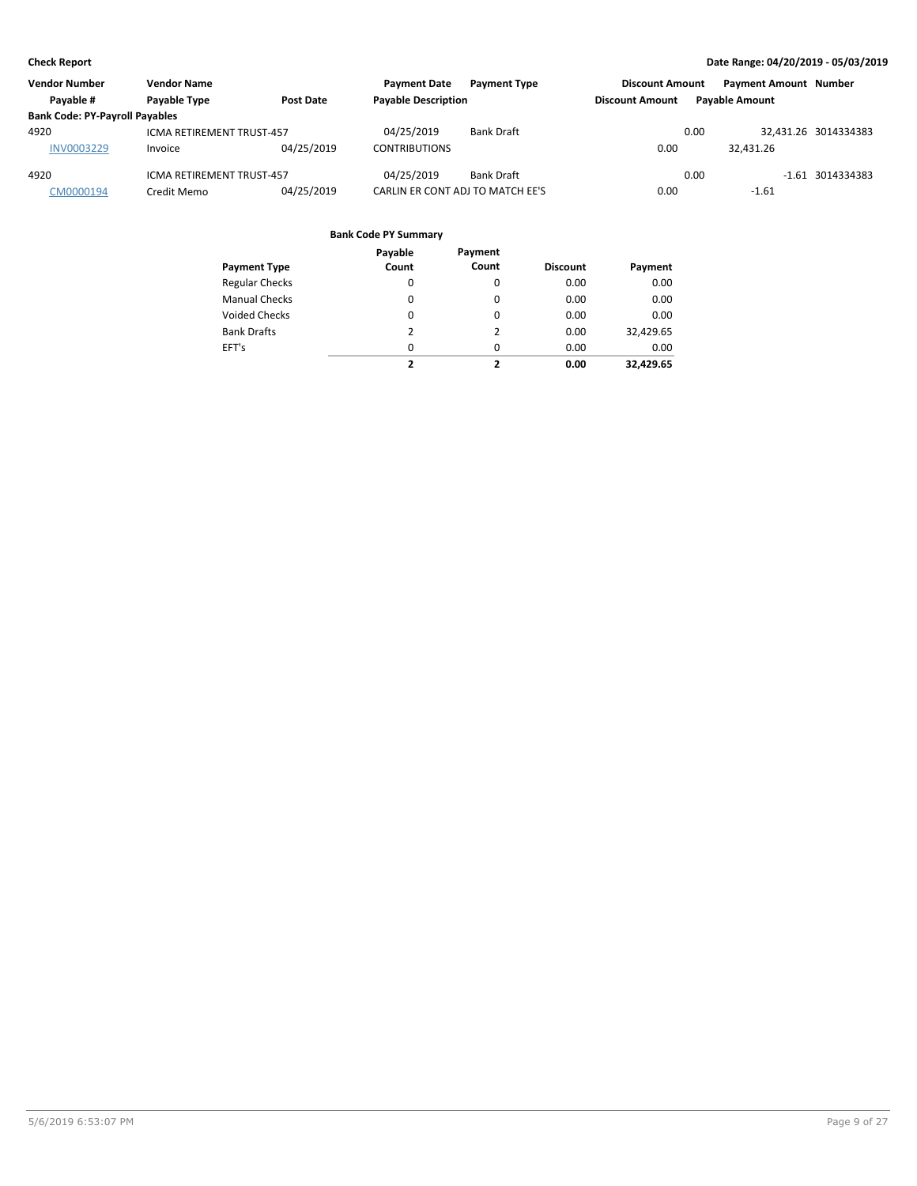| <b>Vendor Number</b>                  | <b>Vendor Name</b>        |            | <b>Payment Date</b>              | <b>Payment Type</b> | <b>Discount Amount</b> |      | <b>Payment Amount Number</b> |                      |
|---------------------------------------|---------------------------|------------|----------------------------------|---------------------|------------------------|------|------------------------------|----------------------|
| Payable #                             | Payable Type              | Post Date  | <b>Payable Description</b>       |                     | <b>Discount Amount</b> |      | <b>Pavable Amount</b>        |                      |
| <b>Bank Code: PY-Payroll Payables</b> |                           |            |                                  |                     |                        |      |                              |                      |
| 4920                                  | ICMA RETIREMENT TRUST-457 |            | 04/25/2019                       | Bank Draft          |                        | 0.00 |                              | 32.431.26 3014334383 |
| <b>INV0003229</b>                     | Invoice                   | 04/25/2019 | <b>CONTRIBUTIONS</b>             |                     | 0.00                   |      | 32.431.26                    |                      |
| 4920                                  | ICMA RETIREMENT TRUST-457 |            | 04/25/2019                       | <b>Bank Draft</b>   |                        | 0.00 |                              | $-1.61$ 3014334383   |
| CM0000194                             | Credit Memo               | 04/25/2019 | CARLIN ER CONT ADJ TO MATCH EE'S |                     | 0.00                   |      | $-1.61$                      |                      |

|                       | Payable  | Payment  |                 |           |
|-----------------------|----------|----------|-----------------|-----------|
| <b>Payment Type</b>   | Count    | Count    | <b>Discount</b> | Payment   |
| <b>Regular Checks</b> | 0        | 0        | 0.00            | 0.00      |
| <b>Manual Checks</b>  | $\Omega$ | $\Omega$ | 0.00            | 0.00      |
| Voided Checks         | 0        | $\Omega$ | 0.00            | 0.00      |
| <b>Bank Drafts</b>    | 2        | 2        | 0.00            | 32,429.65 |
| EFT's                 | 0        | $\Omega$ | 0.00            | 0.00      |
|                       | ,        | ,        | 0.00            | 32.429.65 |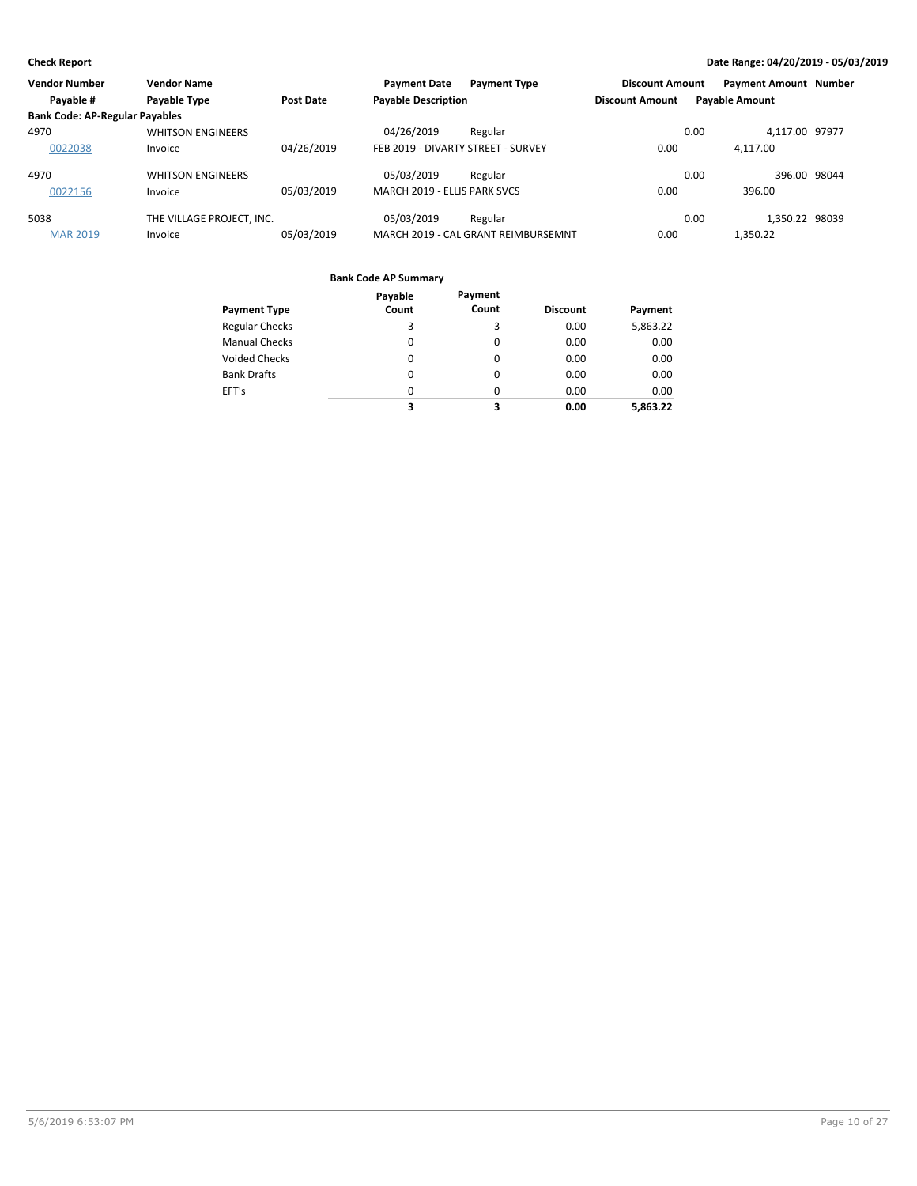| <b>Vendor Number</b>                  | <b>Vendor Name</b>        |                  | <b>Payment Date</b>                | <b>Payment Type</b>                 | <b>Discount Amount</b> |                       | <b>Payment Amount Number</b> |  |
|---------------------------------------|---------------------------|------------------|------------------------------------|-------------------------------------|------------------------|-----------------------|------------------------------|--|
| Payable #                             | <b>Payable Type</b>       | <b>Post Date</b> | <b>Payable Description</b>         |                                     | <b>Discount Amount</b> | <b>Payable Amount</b> |                              |  |
| <b>Bank Code: AP-Regular Payables</b> |                           |                  |                                    |                                     |                        |                       |                              |  |
| 4970                                  | <b>WHITSON ENGINEERS</b>  |                  | 04/26/2019                         | Regular                             |                        | 0.00                  | 4,117.00 97977               |  |
| 0022038                               | Invoice                   | 04/26/2019       | FEB 2019 - DIVARTY STREET - SURVEY |                                     | 0.00                   |                       | 4.117.00                     |  |
| 4970                                  | <b>WHITSON ENGINEERS</b>  |                  | 05/03/2019                         | Regular                             |                        | 0.00                  | 396.00 98044                 |  |
| 0022156                               | Invoice                   | 05/03/2019       | MARCH 2019 - ELLIS PARK SVCS       |                                     | 0.00                   |                       | 396.00                       |  |
| 5038                                  | THE VILLAGE PROJECT, INC. |                  | 05/03/2019                         | Regular                             |                        | 0.00                  | 1.350.22 98039               |  |
| <b>MAR 2019</b>                       | Invoice                   | 05/03/2019       |                                    | MARCH 2019 - CAL GRANT REIMBURSEMNT | 0.00                   |                       | 1,350.22                     |  |

| <b>Payment Type</b>   | Payable<br>Count | Payment<br>Count | <b>Discount</b> | Payment  |
|-----------------------|------------------|------------------|-----------------|----------|
| <b>Regular Checks</b> | 3                | 3                | 0.00            | 5,863.22 |
| <b>Manual Checks</b>  | 0                | 0                | 0.00            | 0.00     |
| <b>Voided Checks</b>  | 0                | $\Omega$         | 0.00            | 0.00     |
| <b>Bank Drafts</b>    | 0                | $\Omega$         | 0.00            | 0.00     |
| EFT's                 | 0                | $\Omega$         | 0.00            | 0.00     |
|                       | 3                | 3                | 0.00            | 5,863.22 |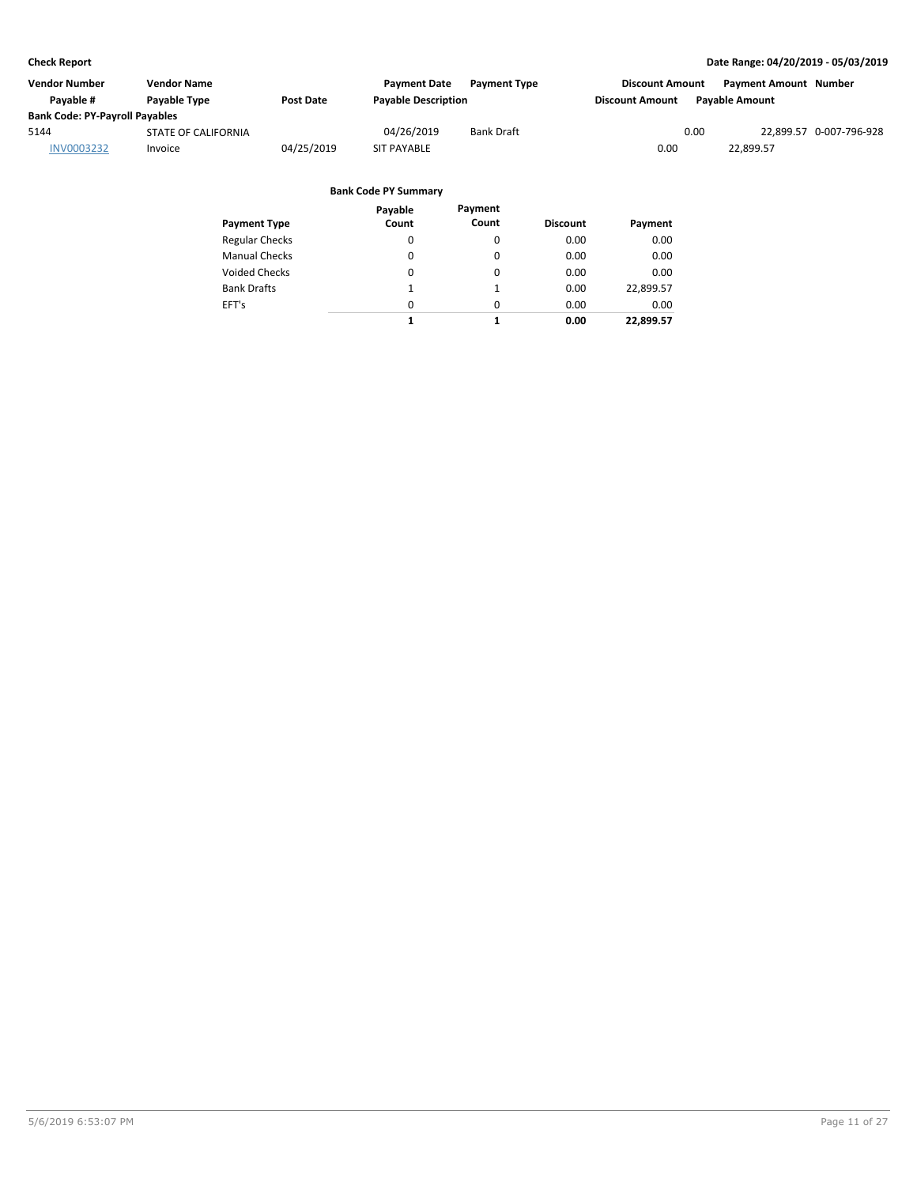| Vendor Number                         | Vendor Name                |                  | <b>Payment Date</b>        | <b>Payment Type</b> | <b>Discount Amount</b> | <b>Payment Amount Number</b> |                         |
|---------------------------------------|----------------------------|------------------|----------------------------|---------------------|------------------------|------------------------------|-------------------------|
| Pavable #                             | Payable Type               | <b>Post Date</b> | <b>Payable Description</b> |                     | <b>Discount Amount</b> | <b>Pavable Amount</b>        |                         |
| <b>Bank Code: PY-Payroll Payables</b> |                            |                  |                            |                     |                        |                              |                         |
| 5144                                  | <b>STATE OF CALIFORNIA</b> |                  | 04/26/2019                 | <b>Bank Draft</b>   | 0.00                   |                              | 22,899.57 0-007-796-928 |
| <b>INV0003232</b>                     | Invoice                    | 04/25/2019       | <b>SIT PAYABLE</b>         |                     | 0.00                   | 22.899.57                    |                         |
|                                       |                            |                  |                            |                     |                        |                              |                         |

| <b>Payment Type</b>   | Payable<br>Count | Payment<br>Count | <b>Discount</b> | Payment   |
|-----------------------|------------------|------------------|-----------------|-----------|
| <b>Regular Checks</b> | 0                | 0                | 0.00            | 0.00      |
| <b>Manual Checks</b>  | $\Omega$         | 0                | 0.00            | 0.00      |
| <b>Voided Checks</b>  | $\Omega$         | 0                | 0.00            | 0.00      |
| <b>Bank Drafts</b>    | 1                | 1                | 0.00            | 22,899.57 |
| EFT's                 | $\Omega$         | $\Omega$         | 0.00            | 0.00      |
|                       | 1                | 1                | 0.00            | 22.899.57 |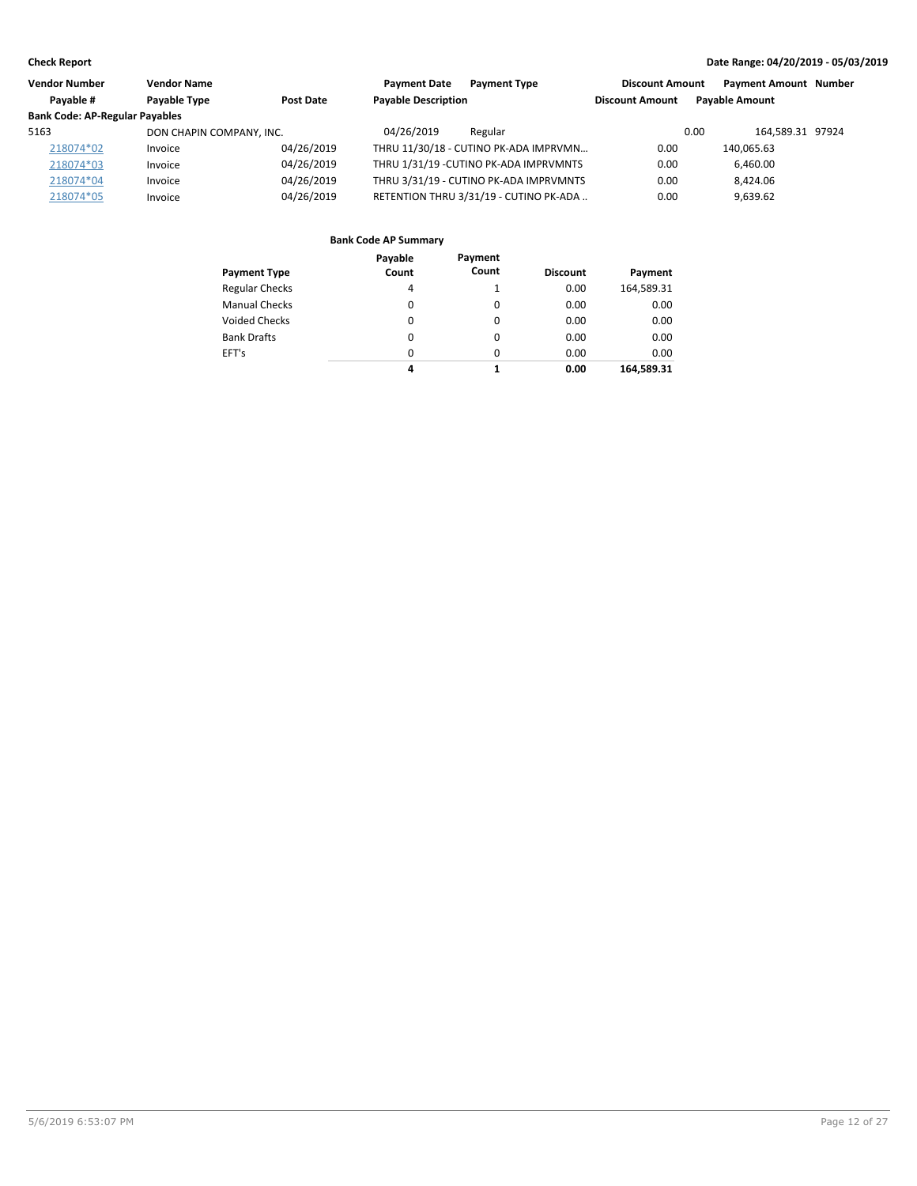| <b>Vendor Number</b>                  | <b>Vendor Name</b>       |            | <b>Payment Date</b>        | <b>Payment Type</b>                    | <b>Discount Amount</b> | <b>Payment Amount Number</b> |  |
|---------------------------------------|--------------------------|------------|----------------------------|----------------------------------------|------------------------|------------------------------|--|
| Payable #                             | Payable Type             | Post Date  | <b>Payable Description</b> |                                        | <b>Discount Amount</b> | <b>Pavable Amount</b>        |  |
| <b>Bank Code: AP-Regular Payables</b> |                          |            |                            |                                        |                        |                              |  |
| 5163                                  | DON CHAPIN COMPANY, INC. |            | 04/26/2019                 | Regular                                |                        | 164.589.31 97924<br>0.00     |  |
| 218074*02                             | Invoice                  | 04/26/2019 |                            | THRU 11/30/18 - CUTINO PK-ADA IMPRVMN  | 0.00                   | 140.065.63                   |  |
| 218074*03                             | Invoice                  | 04/26/2019 |                            | THRU 1/31/19 - CUTINO PK-ADA IMPRVMNTS | 0.00                   | 6,460.00                     |  |
| 218074*04                             | Invoice                  | 04/26/2019 |                            | THRU 3/31/19 - CUTINO PK-ADA IMPRVMNTS | 0.00                   | 8.424.06                     |  |
| 218074*05                             | Invoice                  | 04/26/2019 |                            | RETENTION THRU 3/31/19 - CUTINO PK-ADA | 0.00                   | 9,639.62                     |  |

| Payment Type          | Payable<br>Count | Payment<br>Count | <b>Discount</b> | Payment    |
|-----------------------|------------------|------------------|-----------------|------------|
| <b>Regular Checks</b> | 4                |                  | 0.00            | 164,589.31 |
| Manual Checks         | 0                | $\Omega$         | 0.00            | 0.00       |
| Voided Checks         | 0                | $\Omega$         | 0.00            | 0.00       |
| <b>Bank Drafts</b>    | 0                | $\Omega$         | 0.00            | 0.00       |
| EFT's                 | $\Omega$         | $\Omega$         | 0.00            | 0.00       |
|                       | 4                |                  | 0.00            | 164,589.31 |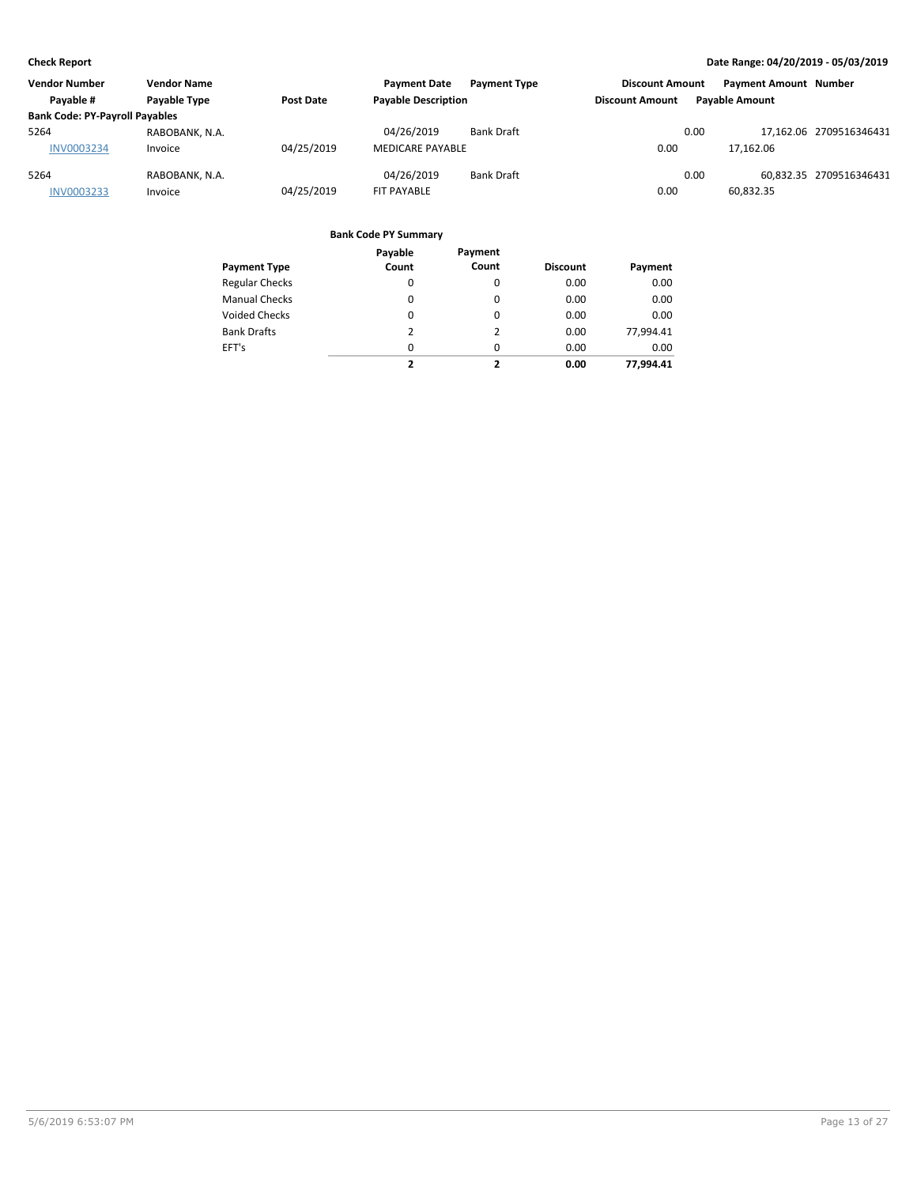| <b>Vendor Number</b>                  | <b>Vendor Name</b> |            | <b>Payment Date</b>        | <b>Payment Type</b> | <b>Discount Amount</b> |      | Payment Amount Number |                         |
|---------------------------------------|--------------------|------------|----------------------------|---------------------|------------------------|------|-----------------------|-------------------------|
| Pavable #                             | Payable Type       | Post Date  | <b>Payable Description</b> |                     | <b>Discount Amount</b> |      | <b>Pavable Amount</b> |                         |
| <b>Bank Code: PY-Payroll Payables</b> |                    |            |                            |                     |                        |      |                       |                         |
| 5264                                  | RABOBANK, N.A.     |            | 04/26/2019                 | <b>Bank Draft</b>   |                        | 0.00 |                       | 17.162.06 2709516346431 |
| <b>INV0003234</b>                     | Invoice            | 04/25/2019 | MEDICARE PAYABLE           |                     | 0.00                   |      | 17.162.06             |                         |
| 5264                                  | RABOBANK, N.A.     |            | 04/26/2019                 | <b>Bank Draft</b>   |                        | 0.00 |                       | 60.832.35 2709516346431 |
| <b>INV0003233</b>                     | Invoice            | 04/25/2019 | <b>FIT PAYABLE</b>         |                     | 0.00                   |      | 60,832.35             |                         |

|                       | Payable  | Payment                  |                 |           |
|-----------------------|----------|--------------------------|-----------------|-----------|
| <b>Payment Type</b>   | Count    | Count                    | <b>Discount</b> | Payment   |
| <b>Regular Checks</b> | 0        | 0                        | 0.00            | 0.00      |
| <b>Manual Checks</b>  | 0        | 0                        | 0.00            | 0.00      |
| <b>Voided Checks</b>  | 0        | $\Omega$                 | 0.00            | 0.00      |
| <b>Bank Drafts</b>    | 2        | 2                        | 0.00            | 77.994.41 |
| EFT's                 | $\Omega$ | $\Omega$                 | 0.00            | 0.00      |
|                       | 2        | $\overline{\phantom{a}}$ | 0.00            | 77.994.41 |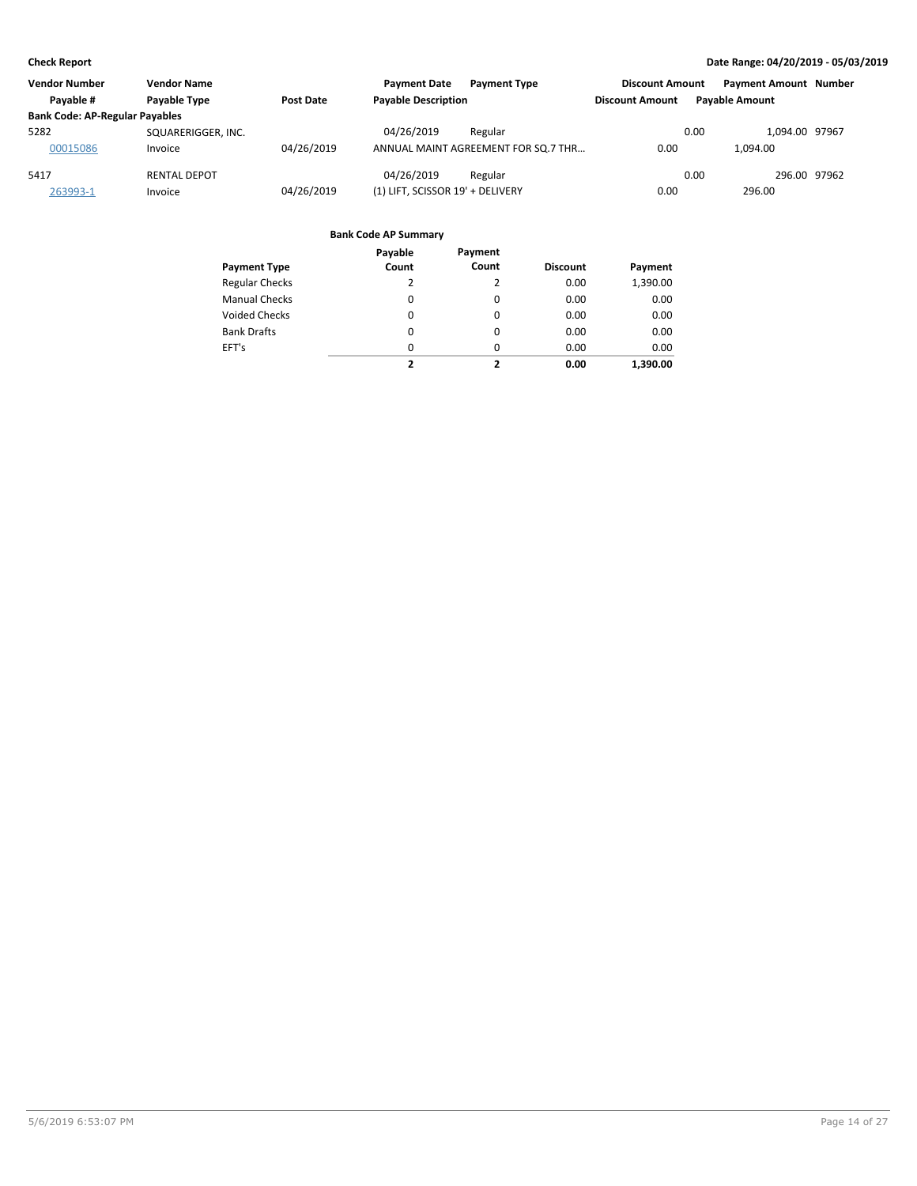| <b>Vendor Number</b>                  | <b>Vendor Name</b>  |            | <b>Payment Date</b><br><b>Payment Type</b> | <b>Discount Amount</b> | <b>Payment Amount Number</b> |  |
|---------------------------------------|---------------------|------------|--------------------------------------------|------------------------|------------------------------|--|
| Pavable #                             | <b>Pavable Type</b> | Post Date  | <b>Payable Description</b>                 | <b>Discount Amount</b> | <b>Pavable Amount</b>        |  |
| <b>Bank Code: AP-Regular Payables</b> |                     |            |                                            |                        |                              |  |
| 5282                                  | SQUARERIGGER, INC.  |            | 04/26/2019<br>Regular                      |                        | 0.00<br>1.094.00 97967       |  |
| 00015086                              | Invoice             | 04/26/2019 | ANNUAL MAINT AGREEMENT FOR SO.7 THR        | 0.00                   | 1.094.00                     |  |
| 5417                                  | <b>RENTAL DEPOT</b> |            | 04/26/2019<br>Regular                      |                        | 296.00 97962<br>0.00         |  |
| 263993-1                              | Invoice             | 04/26/2019 | (1) LIFT, SCISSOR 19' + DELIVERY           | 0.00                   | 296.00                       |  |

|                       | Payable                 | Payment                  |                 |          |
|-----------------------|-------------------------|--------------------------|-----------------|----------|
| <b>Payment Type</b>   | Count                   | Count                    | <b>Discount</b> | Payment  |
| <b>Regular Checks</b> | 2                       | 2                        | 0.00            | 1,390.00 |
| <b>Manual Checks</b>  | 0                       | 0                        | 0.00            | 0.00     |
| <b>Voided Checks</b>  | $\Omega$                | $\Omega$                 | 0.00            | 0.00     |
| <b>Bank Drafts</b>    | 0                       | $\Omega$                 | 0.00            | 0.00     |
| EFT's                 | $\Omega$                | $\Omega$                 | 0.00            | 0.00     |
|                       | $\overline{\mathbf{z}}$ | $\overline{\phantom{a}}$ | 0.00            | 1.390.00 |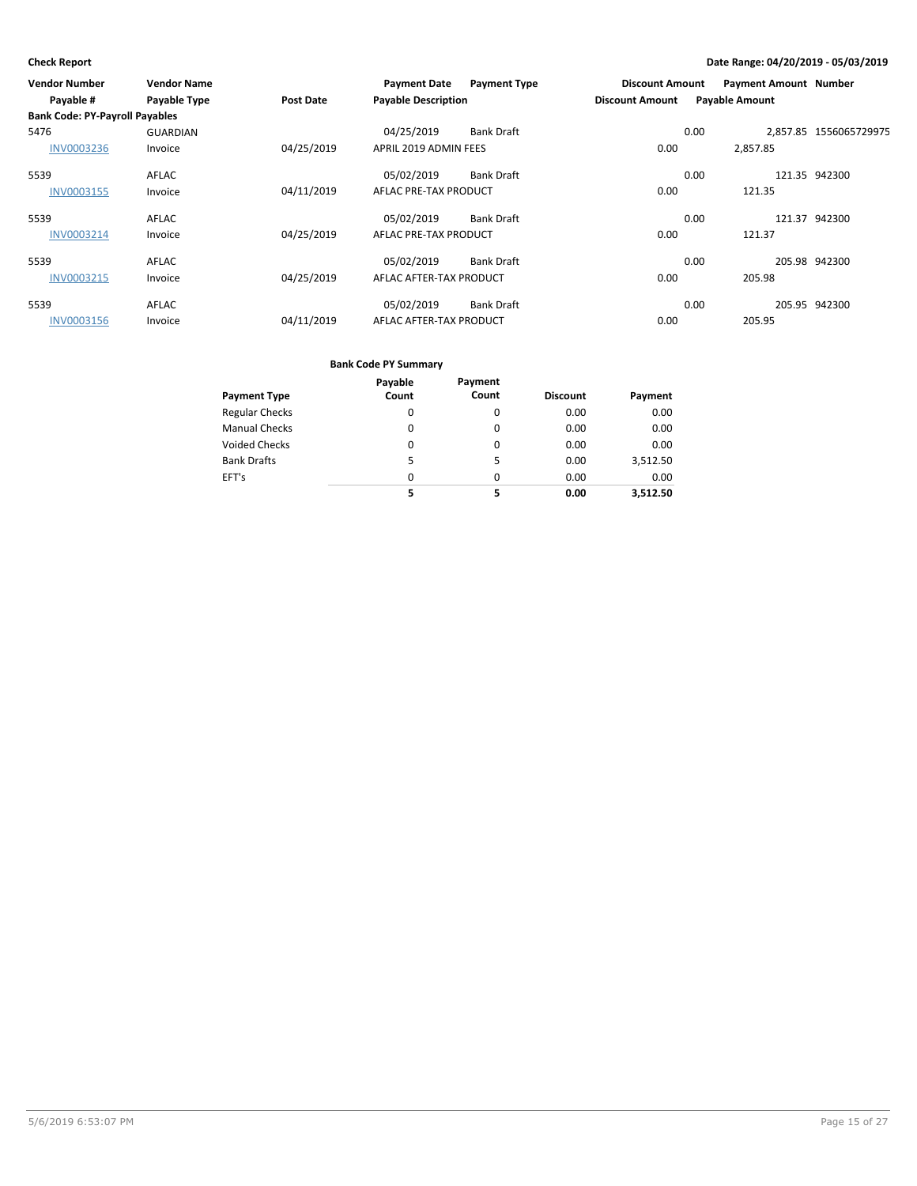| <b>Vendor Number</b>                  | <b>Vendor Name</b> |                  | <b>Payment Date</b>        | <b>Payment Type</b> | <b>Discount Amount</b> |                       | <b>Payment Amount Number</b> |                        |
|---------------------------------------|--------------------|------------------|----------------------------|---------------------|------------------------|-----------------------|------------------------------|------------------------|
| Payable #                             | Payable Type       | <b>Post Date</b> | <b>Payable Description</b> |                     | <b>Discount Amount</b> | <b>Payable Amount</b> |                              |                        |
| <b>Bank Code: PY-Payroll Payables</b> |                    |                  |                            |                     |                        |                       |                              |                        |
| 5476                                  | <b>GUARDIAN</b>    |                  | 04/25/2019                 | <b>Bank Draft</b>   |                        | 0.00                  |                              | 2.857.85 1556065729975 |
| <b>INV0003236</b>                     | Invoice            | 04/25/2019       | APRIL 2019 ADMIN FEES      |                     | 0.00                   |                       | 2,857.85                     |                        |
| 5539                                  | <b>AFLAC</b>       |                  | 05/02/2019                 | <b>Bank Draft</b>   |                        | 0.00                  |                              | 121.35 942300          |
| INV0003155                            | Invoice            | 04/11/2019       | AFLAC PRE-TAX PRODUCT      |                     | 0.00                   |                       | 121.35                       |                        |
| 5539                                  | <b>AFLAC</b>       |                  | 05/02/2019                 | <b>Bank Draft</b>   |                        | 0.00                  |                              | 121.37 942300          |
| INV0003214                            | Invoice            | 04/25/2019       | AFLAC PRE-TAX PRODUCT      |                     | 0.00                   |                       | 121.37                       |                        |
| 5539                                  | AFLAC              |                  | 05/02/2019                 | <b>Bank Draft</b>   |                        | 0.00                  |                              | 205.98 942300          |
| <b>INV0003215</b>                     | Invoice            | 04/25/2019       | AFLAC AFTER-TAX PRODUCT    |                     | 0.00                   |                       | 205.98                       |                        |
| 5539                                  | <b>AFLAC</b>       |                  | 05/02/2019                 | <b>Bank Draft</b>   |                        | 0.00                  |                              | 205.95 942300          |
| <b>INV0003156</b>                     | Invoice            | 04/11/2019       | AFLAC AFTER-TAX PRODUCT    |                     | 0.00                   |                       | 205.95                       |                        |

|                       | Payable | Payment  |                 |          |
|-----------------------|---------|----------|-----------------|----------|
| <b>Payment Type</b>   | Count   | Count    | <b>Discount</b> | Payment  |
| <b>Regular Checks</b> | 0       | 0        | 0.00            | 0.00     |
| <b>Manual Checks</b>  | 0       | 0        | 0.00            | 0.00     |
| <b>Voided Checks</b>  | 0       | 0        | 0.00            | 0.00     |
| <b>Bank Drafts</b>    | 5       | 5        | 0.00            | 3,512.50 |
| EFT's                 | 0       | $\Omega$ | 0.00            | 0.00     |
|                       | 5       | 5        | 0.00            | 3.512.50 |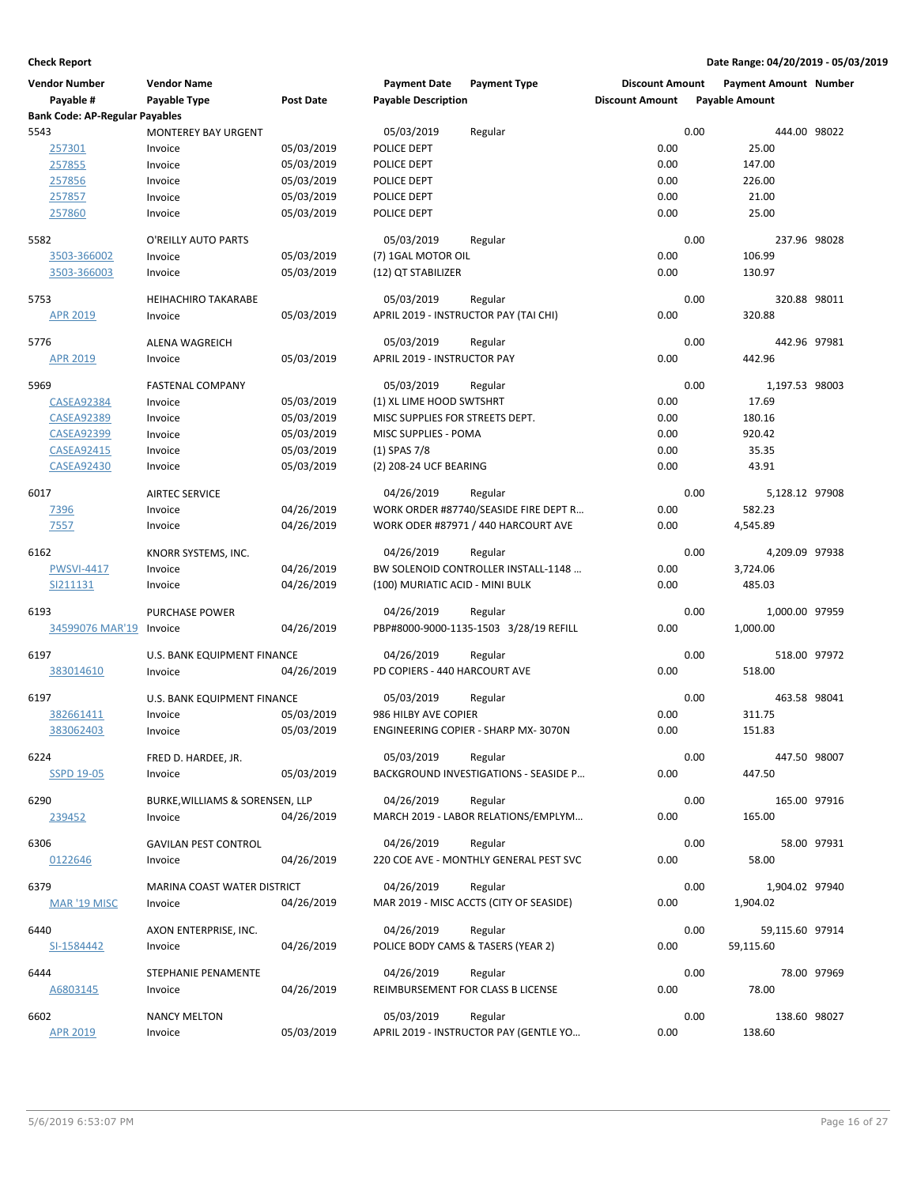| <b>Vendor Number</b>                  | <b>Vendor Name</b>              |                  | <b>Payment Date</b>                | <b>Payment Type</b>                     | <b>Discount Amount</b> | <b>Payment Amount Number</b> |              |
|---------------------------------------|---------------------------------|------------------|------------------------------------|-----------------------------------------|------------------------|------------------------------|--------------|
| Payable #                             | Payable Type                    | <b>Post Date</b> | <b>Payable Description</b>         |                                         | <b>Discount Amount</b> | <b>Payable Amount</b>        |              |
| <b>Bank Code: AP-Regular Payables</b> |                                 |                  |                                    |                                         |                        |                              |              |
| 5543                                  | <b>MONTEREY BAY URGENT</b>      |                  | 05/03/2019                         | Regular                                 |                        | 0.00                         | 444.00 98022 |
| 257301                                | Invoice                         | 05/03/2019       | POLICE DEPT                        |                                         | 0.00                   | 25.00                        |              |
| 257855                                | Invoice                         | 05/03/2019       | POLICE DEPT                        |                                         | 0.00                   | 147.00                       |              |
| 257856                                | Invoice                         | 05/03/2019       | POLICE DEPT                        |                                         | 0.00                   | 226.00                       |              |
| 257857                                | Invoice                         | 05/03/2019       | POLICE DEPT                        |                                         | 0.00                   | 21.00                        |              |
| 257860                                | Invoice                         | 05/03/2019       | POLICE DEPT                        |                                         | 0.00                   | 25.00                        |              |
|                                       |                                 |                  |                                    |                                         |                        |                              |              |
| 5582                                  | O'REILLY AUTO PARTS             |                  | 05/03/2019                         | Regular                                 |                        | 0.00<br>237.96 98028         |              |
| 3503-366002                           | Invoice                         | 05/03/2019       | (7) 1GAL MOTOR OIL                 |                                         | 0.00                   | 106.99                       |              |
| 3503-366003                           | Invoice                         | 05/03/2019       | (12) QT STABILIZER                 |                                         | 0.00                   | 130.97                       |              |
| 5753                                  | <b>HEIHACHIRO TAKARABE</b>      |                  | 05/03/2019                         | Regular                                 |                        | 0.00<br>320.88 98011         |              |
| <b>APR 2019</b>                       | Invoice                         | 05/03/2019       |                                    | APRIL 2019 - INSTRUCTOR PAY (TAI CHI)   | 0.00                   | 320.88                       |              |
| 5776                                  | <b>ALENA WAGREICH</b>           |                  | 05/03/2019                         | Regular                                 |                        | 0.00<br>442.96 97981         |              |
| <b>APR 2019</b>                       | Invoice                         | 05/03/2019       | APRIL 2019 - INSTRUCTOR PAY        |                                         | 0.00                   | 442.96                       |              |
| 5969                                  | <b>FASTENAL COMPANY</b>         |                  | 05/03/2019                         | Regular                                 |                        | 0.00<br>1,197.53 98003       |              |
| <b>CASEA92384</b>                     | Invoice                         | 05/03/2019       | (1) XL LIME HOOD SWTSHRT           |                                         | 0.00                   | 17.69                        |              |
| <b>CASEA92389</b>                     | Invoice                         | 05/03/2019       | MISC SUPPLIES FOR STREETS DEPT.    |                                         | 0.00                   | 180.16                       |              |
| <b>CASEA92399</b>                     | Invoice                         | 05/03/2019       | MISC SUPPLIES - POMA               |                                         | 0.00                   | 920.42                       |              |
| <b>CASEA92415</b>                     | Invoice                         | 05/03/2019       | $(1)$ SPAS 7/8                     |                                         | 0.00                   | 35.35                        |              |
| <b>CASEA92430</b>                     | Invoice                         | 05/03/2019       | (2) 208-24 UCF BEARING             |                                         | 0.00                   | 43.91                        |              |
|                                       |                                 |                  |                                    |                                         |                        |                              |              |
| 6017                                  | <b>AIRTEC SERVICE</b>           |                  | 04/26/2019                         | Regular                                 |                        | 0.00<br>5,128.12 97908       |              |
| 7396                                  | Invoice                         | 04/26/2019       |                                    | WORK ORDER #87740/SEASIDE FIRE DEPT R   | 0.00                   | 582.23                       |              |
| 7557                                  | Invoice                         | 04/26/2019       |                                    | WORK ODER #87971 / 440 HARCOURT AVE     | 0.00                   | 4,545.89                     |              |
| 6162                                  | KNORR SYSTEMS, INC.             |                  | 04/26/2019                         | Regular                                 |                        | 0.00<br>4,209.09 97938       |              |
| <b>PWSVI-4417</b>                     | Invoice                         | 04/26/2019       |                                    | BW SOLENOID CONTROLLER INSTALL-1148     | 0.00                   | 3,724.06                     |              |
| SI211131                              | Invoice                         | 04/26/2019       | (100) MURIATIC ACID - MINI BULK    |                                         | 0.00                   | 485.03                       |              |
| 6193                                  | <b>PURCHASE POWER</b>           |                  | 04/26/2019                         | Regular                                 |                        | 0.00<br>1,000.00 97959       |              |
| 34599076 MAR'19                       | Invoice                         | 04/26/2019       |                                    | PBP#8000-9000-1135-1503 3/28/19 REFILL  | 0.00                   | 1,000.00                     |              |
|                                       |                                 |                  |                                    |                                         |                        |                              |              |
| 6197                                  | U.S. BANK EQUIPMENT FINANCE     |                  | 04/26/2019                         | Regular                                 |                        | 0.00<br>518.00 97972         |              |
| 383014610                             | Invoice                         | 04/26/2019       | PD COPIERS - 440 HARCOURT AVE      |                                         | 0.00                   | 518.00                       |              |
| 6197                                  | U.S. BANK EQUIPMENT FINANCE     |                  | 05/03/2019                         | Regular                                 |                        | 0.00<br>463.58 98041         |              |
| 382661411                             | Invoice                         | 05/03/2019       | 986 HILBY AVE COPIER               |                                         | 0.00                   | 311.75                       |              |
| 383062403                             | Invoice                         | 05/03/2019       |                                    | ENGINEERING COPIER - SHARP MX-3070N     | 0.00                   | 151.83                       |              |
| 6224                                  | FRED D. HARDEE, JR.             |                  | 05/03/2019                         | Regular                                 |                        | 0.00<br>447.50 98007         |              |
| <b>SSPD 19-05</b>                     | Invoice                         | 05/03/2019       |                                    | BACKGROUND INVESTIGATIONS - SEASIDE P   | 0.00                   | 447.50                       |              |
| 6290                                  | BURKE, WILLIAMS & SORENSEN, LLP |                  | 04/26/2019                         | Regular                                 |                        | 0.00<br>165.00 97916         |              |
| 239452                                | Invoice                         | 04/26/2019       |                                    | MARCH 2019 - LABOR RELATIONS/EMPLYM     | 0.00                   | 165.00                       |              |
|                                       |                                 |                  |                                    |                                         |                        |                              |              |
| 6306                                  | <b>GAVILAN PEST CONTROL</b>     |                  | 04/26/2019                         | Regular                                 |                        | 0.00                         | 58.00 97931  |
| 0122646                               | Invoice                         | 04/26/2019       |                                    | 220 COE AVE - MONTHLY GENERAL PEST SVC  | 0.00                   | 58.00                        |              |
|                                       |                                 |                  |                                    |                                         |                        |                              |              |
| 6379                                  | MARINA COAST WATER DISTRICT     |                  | 04/26/2019                         | Regular                                 |                        | 0.00<br>1,904.02 97940       |              |
| <b>MAR '19 MISC</b>                   | Invoice                         | 04/26/2019       |                                    | MAR 2019 - MISC ACCTS (CITY OF SEASIDE) | 0.00                   | 1,904.02                     |              |
| 6440                                  | AXON ENTERPRISE, INC.           |                  | 04/26/2019                         | Regular                                 |                        | 0.00<br>59,115.60 97914      |              |
|                                       |                                 |                  |                                    |                                         |                        |                              |              |
| SI-1584442                            | Invoice                         | 04/26/2019       | POLICE BODY CAMS & TASERS (YEAR 2) |                                         | 0.00                   | 59,115.60                    |              |
| 6444                                  | STEPHANIE PENAMENTE             |                  | 04/26/2019                         | Regular                                 |                        | 0.00                         | 78.00 97969  |
| A6803145                              | Invoice                         | 04/26/2019       |                                    | REIMBURSEMENT FOR CLASS B LICENSE       | 0.00                   | 78.00                        |              |
|                                       |                                 |                  |                                    |                                         |                        |                              |              |
| 6602                                  | <b>NANCY MELTON</b>             |                  | 05/03/2019                         | Regular                                 |                        | 0.00<br>138.60 98027         |              |
| <b>APR 2019</b>                       | Invoice                         | 05/03/2019       |                                    | APRIL 2019 - INSTRUCTOR PAY (GENTLE YO  | 0.00                   | 138.60                       |              |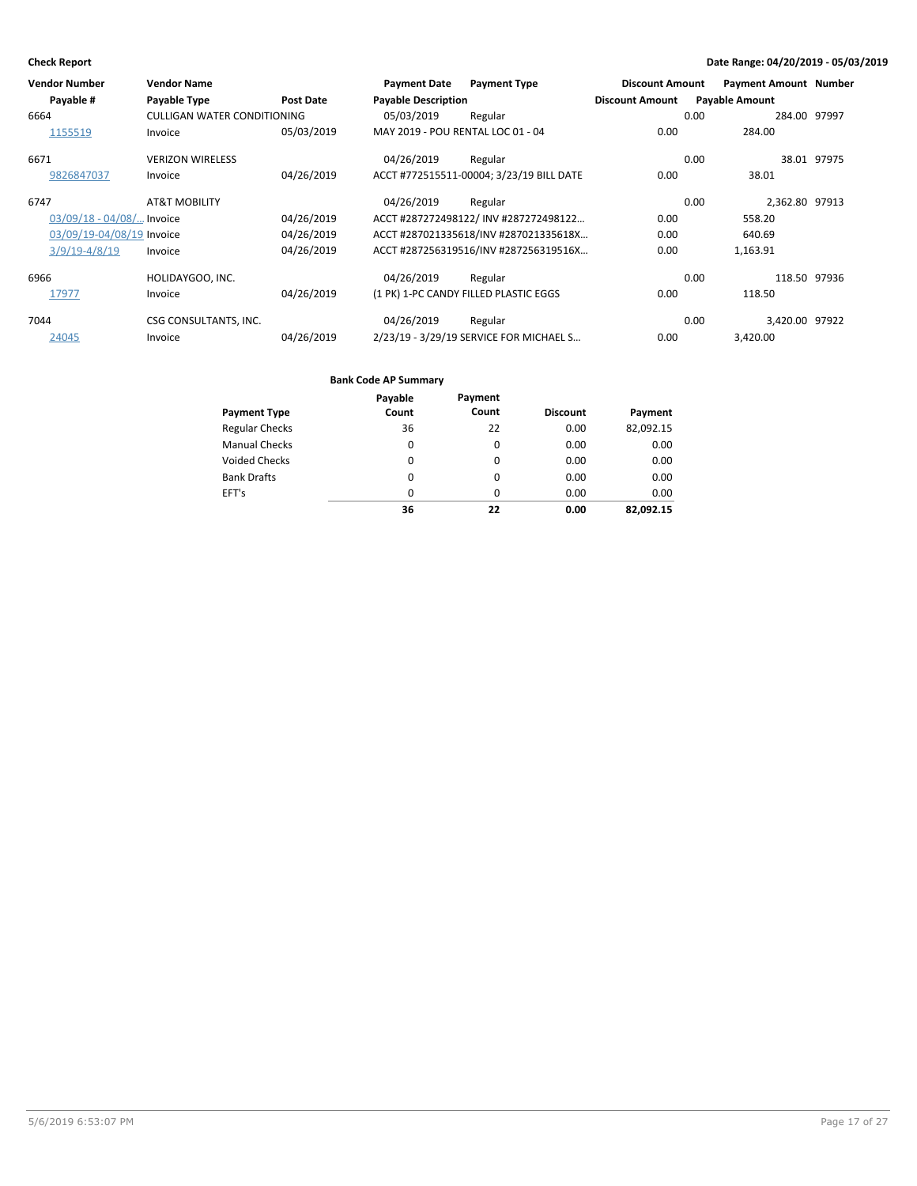| <b>Vendor Number</b>        | <b>Vendor Name</b>                 |                  | <b>Payment Date</b>               | <b>Payment Type</b>                      | <b>Discount Amount</b> | <b>Payment Amount Number</b> |              |
|-----------------------------|------------------------------------|------------------|-----------------------------------|------------------------------------------|------------------------|------------------------------|--------------|
| Payable #                   | Payable Type                       | <b>Post Date</b> | <b>Payable Description</b>        |                                          | <b>Discount Amount</b> | <b>Payable Amount</b>        |              |
| 6664                        | <b>CULLIGAN WATER CONDITIONING</b> |                  | 05/03/2019                        | Regular                                  |                        | 0.00                         | 284.00 97997 |
| 1155519                     | Invoice                            | 05/03/2019       | MAY 2019 - POU RENTAL LOC 01 - 04 |                                          | 0.00                   | 284.00                       |              |
| 6671                        | <b>VERIZON WIRELESS</b>            |                  | 04/26/2019                        | Regular                                  |                        | 0.00                         | 38.01 97975  |
| 9826847037                  | Invoice                            | 04/26/2019       |                                   | ACCT #772515511-00004; 3/23/19 BILL DATE | 0.00                   | 38.01                        |              |
| 6747                        | <b>AT&amp;T MOBILITY</b>           |                  | 04/26/2019                        | Regular                                  |                        | 2,362.80 97913<br>0.00       |              |
| $03/09/18 - 04/08/$ Invoice |                                    | 04/26/2019       |                                   | ACCT #287272498122/INV #287272498122     | 0.00                   | 558.20                       |              |
| 03/09/19-04/08/19 Invoice   |                                    | 04/26/2019       |                                   | ACCT #287021335618/INV #287021335618X    | 0.00                   | 640.69                       |              |
| $3/9/19 - 4/8/19$           | Invoice                            | 04/26/2019       |                                   | ACCT #287256319516/INV #287256319516X    | 0.00                   | 1,163.91                     |              |
| 6966                        | HOLIDAYGOO, INC.                   |                  | 04/26/2019                        | Regular                                  |                        | 0.00                         | 118.50 97936 |
| 17977                       | Invoice                            | 04/26/2019       |                                   | (1 PK) 1-PC CANDY FILLED PLASTIC EGGS    | 0.00                   | 118.50                       |              |
| 7044                        | CSG CONSULTANTS, INC.              |                  | 04/26/2019                        | Regular                                  |                        | 0.00<br>3.420.00 97922       |              |
| 24045                       | Invoice                            | 04/26/2019       |                                   | 2/23/19 - 3/29/19 SERVICE FOR MICHAEL S  | 0.00                   | 3,420.00                     |              |

|                       | Payable | Payment |                 |           |
|-----------------------|---------|---------|-----------------|-----------|
| <b>Payment Type</b>   | Count   | Count   | <b>Discount</b> | Payment   |
| <b>Regular Checks</b> | 36      | 22      | 0.00            | 82,092.15 |
| <b>Manual Checks</b>  | 0       | 0       | 0.00            | 0.00      |
| <b>Voided Checks</b>  | 0       | 0       | 0.00            | 0.00      |
| <b>Bank Drafts</b>    | 0       | 0       | 0.00            | 0.00      |
| EFT's                 | 0       | 0       | 0.00            | 0.00      |
|                       | 36      | 22      | 0.00            | 82.092.15 |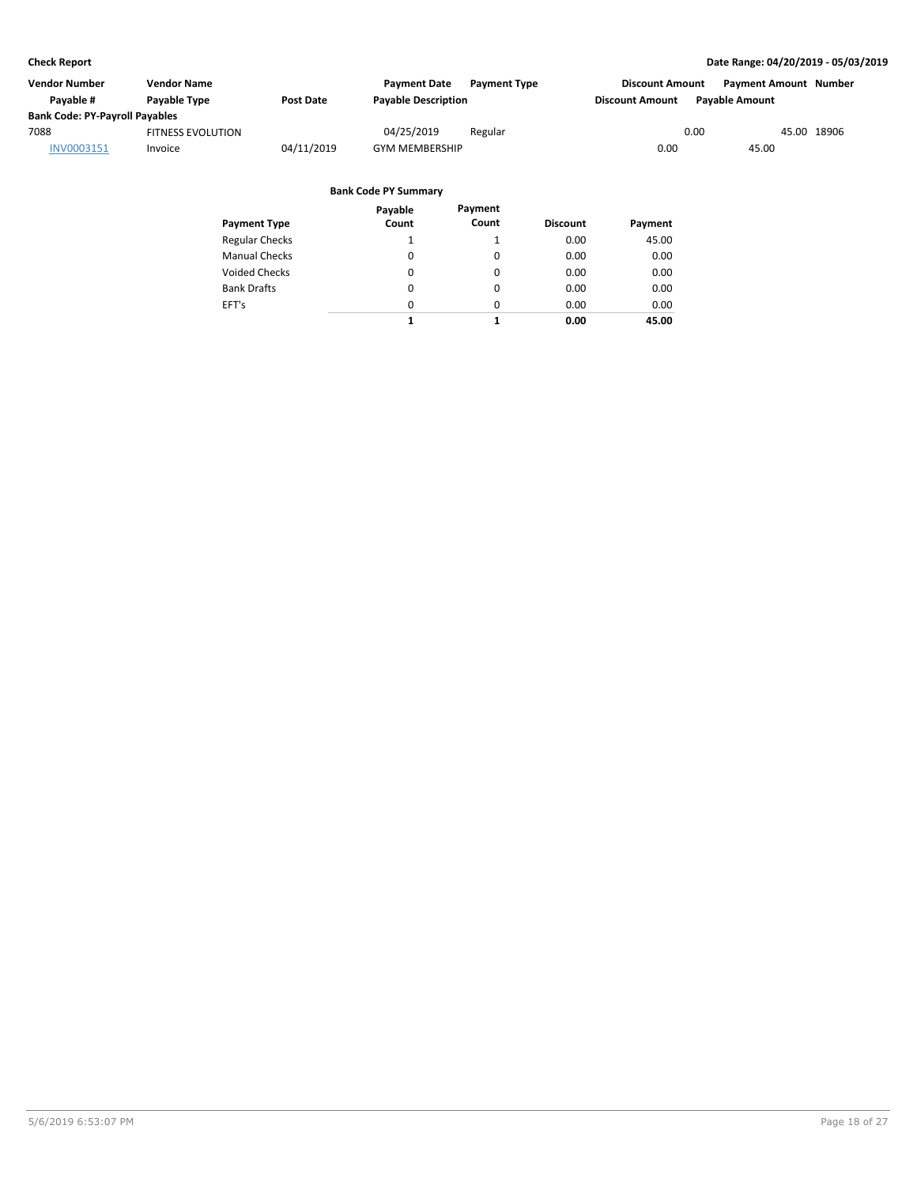| Vendor Number                         | <b>Vendor Name</b>       |            | <b>Payment Date</b>        | <b>Payment Type</b> | <b>Discount Amount</b> | <b>Payment Amount Number</b> |             |
|---------------------------------------|--------------------------|------------|----------------------------|---------------------|------------------------|------------------------------|-------------|
| Pavable #                             | Payable Type             | Post Date  | <b>Payable Description</b> |                     | <b>Discount Amount</b> | <b>Pavable Amount</b>        |             |
| <b>Bank Code: PY-Payroll Payables</b> |                          |            |                            |                     |                        |                              |             |
| 7088                                  | <b>FITNESS EVOLUTION</b> |            | 04/25/2019                 | Regular             |                        | 0.00                         | 45.00 18906 |
| INV0003151                            | Invoice                  | 04/11/2019 | <b>GYM MEMBERSHIP</b>      |                     | 0.00                   | 45.00                        |             |

|                       | Payable  | Payment  |                 |         |
|-----------------------|----------|----------|-----------------|---------|
| <b>Payment Type</b>   | Count    | Count    | <b>Discount</b> | Payment |
| <b>Regular Checks</b> | 1        | 1        | 0.00            | 45.00   |
| <b>Manual Checks</b>  | 0        | 0        | 0.00            | 0.00    |
| <b>Voided Checks</b>  | 0        | 0        | 0.00            | 0.00    |
| <b>Bank Drafts</b>    | $\Omega$ | 0        | 0.00            | 0.00    |
| EFT's                 | $\Omega$ | $\Omega$ | 0.00            | 0.00    |
|                       | 1        | 1        | 0.00            | 45.00   |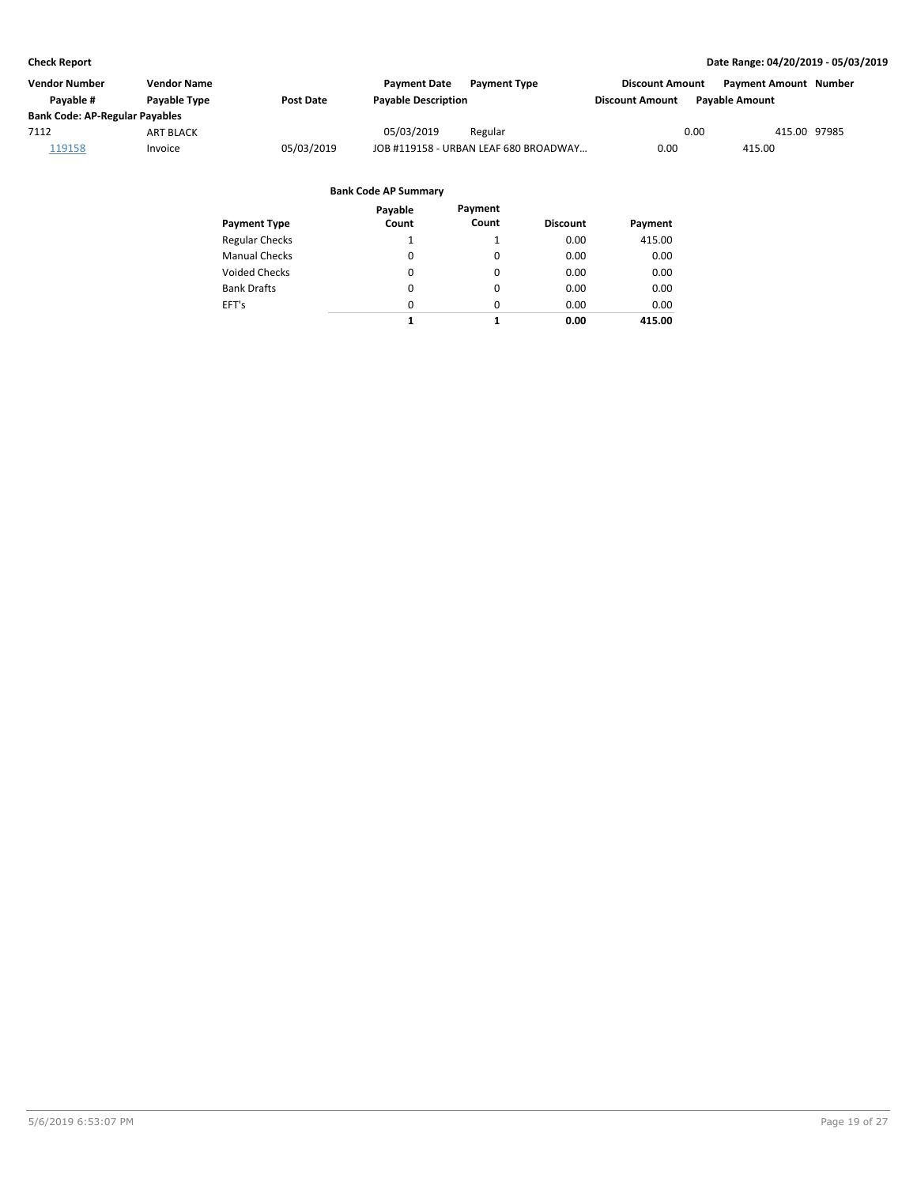| <b>Vendor Number</b>                  | <b>Vendor Name</b>  |                  | <b>Payment Date</b><br><b>Payment Type</b> | <b>Discount Amount</b> | <b>Payment Amount Number</b> |
|---------------------------------------|---------------------|------------------|--------------------------------------------|------------------------|------------------------------|
| Pavable #                             | <b>Pavable Type</b> | <b>Post Date</b> | <b>Payable Description</b>                 | <b>Discount Amount</b> | <b>Pavable Amount</b>        |
| <b>Bank Code: AP-Regular Payables</b> |                     |                  |                                            |                        |                              |
| 7112                                  | <b>ART BLACK</b>    |                  | 05/03/2019<br>Regular                      | 0.00                   | 415.00 97985                 |
| 119158                                | Invoice             | 05/03/2019       | JOB #119158 - URBAN LEAF 680 BROADWAY      | 0.00                   | 415.00                       |

| <b>Payment Type</b>   | Payable<br>Count | Payment<br>Count | <b>Discount</b> | Payment |
|-----------------------|------------------|------------------|-----------------|---------|
| <b>Regular Checks</b> | 1                |                  | 0.00            | 415.00  |
| <b>Manual Checks</b>  | 0                | 0                | 0.00            | 0.00    |
| <b>Voided Checks</b>  | 0                | 0                | 0.00            | 0.00    |
| <b>Bank Drafts</b>    | 0                | 0                | 0.00            | 0.00    |
| EFT's                 | $\Omega$         | $\Omega$         | 0.00            | 0.00    |
|                       | 1                | 1                | 0.00            | 415.00  |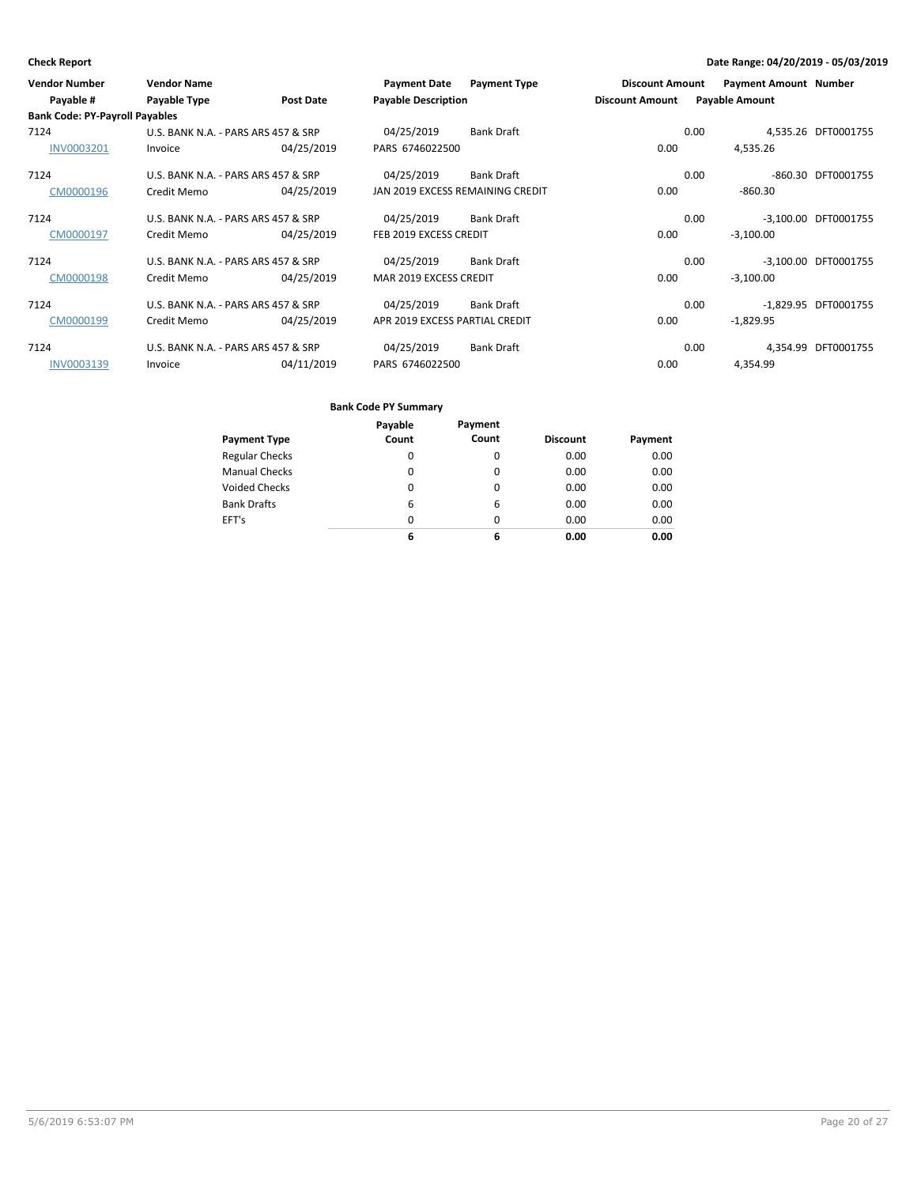| <b>Vendor Number</b>                  | <b>Vendor Name</b>                  |                  | <b>Payment Date</b>              | <b>Payment Type</b> | <b>Discount Amount</b> | <b>Payment Amount Number</b> |                      |
|---------------------------------------|-------------------------------------|------------------|----------------------------------|---------------------|------------------------|------------------------------|----------------------|
| Payable #                             | Payable Type                        | <b>Post Date</b> | <b>Payable Description</b>       |                     | <b>Discount Amount</b> | <b>Payable Amount</b>        |                      |
| <b>Bank Code: PY-Payroll Payables</b> |                                     |                  |                                  |                     |                        |                              |                      |
| 7124                                  | U.S. BANK N.A. - PARS ARS 457 & SRP |                  | 04/25/2019                       | <b>Bank Draft</b>   |                        | 0.00                         | 4,535.26 DFT0001755  |
| <b>INV0003201</b>                     | Invoice                             | 04/25/2019       | PARS 6746022500                  |                     | 0.00                   | 4,535.26                     |                      |
| 7124                                  | U.S. BANK N.A. - PARS ARS 457 & SRP |                  | 04/25/2019                       | <b>Bank Draft</b>   |                        | 0.00<br>-860.30              | DFT0001755           |
| CM0000196                             | Credit Memo                         | 04/25/2019       | JAN 2019 EXCESS REMAINING CREDIT |                     | 0.00                   | $-860.30$                    |                      |
| 7124                                  | U.S. BANK N.A. - PARS ARS 457 & SRP |                  | 04/25/2019                       | <b>Bank Draft</b>   |                        | $-3.100.00$<br>0.00          | DFT0001755           |
| CM0000197                             | Credit Memo                         | 04/25/2019       | FEB 2019 EXCESS CREDIT           |                     | 0.00                   | $-3,100.00$                  |                      |
| 7124                                  | U.S. BANK N.A. - PARS ARS 457 & SRP |                  | 04/25/2019                       | <b>Bank Draft</b>   |                        | 0.00                         | -3,100.00 DFT0001755 |
| CM0000198                             | Credit Memo                         | 04/25/2019       | MAR 2019 EXCESS CREDIT           |                     | 0.00                   | $-3,100.00$                  |                      |
| 7124                                  | U.S. BANK N.A. - PARS ARS 457 & SRP |                  | 04/25/2019                       | <b>Bank Draft</b>   |                        | 0.00                         | -1,829.95 DFT0001755 |
| CM0000199                             | Credit Memo                         | 04/25/2019       | APR 2019 EXCESS PARTIAL CREDIT   |                     | 0.00                   | $-1,829.95$                  |                      |
| 7124                                  | U.S. BANK N.A. - PARS ARS 457 & SRP |                  | 04/25/2019                       | <b>Bank Draft</b>   |                        | 0.00<br>4,354.99             | DFT0001755           |
| <b>INV0003139</b>                     | Invoice                             | 04/11/2019       | PARS 6746022500                  |                     | 0.00                   | 4,354.99                     |                      |

|                       | Payable | Payment |                 |         |
|-----------------------|---------|---------|-----------------|---------|
| <b>Payment Type</b>   | Count   | Count   | <b>Discount</b> | Payment |
| <b>Regular Checks</b> | 0       | 0       | 0.00            | 0.00    |
| <b>Manual Checks</b>  | 0       | 0       | 0.00            | 0.00    |
| <b>Voided Checks</b>  | 0       | 0       | 0.00            | 0.00    |
| <b>Bank Drafts</b>    | 6       | 6       | 0.00            | 0.00    |
| EFT's                 | 0       | 0       | 0.00            | 0.00    |
|                       | 6       | 6       | 0.00            | 0.00    |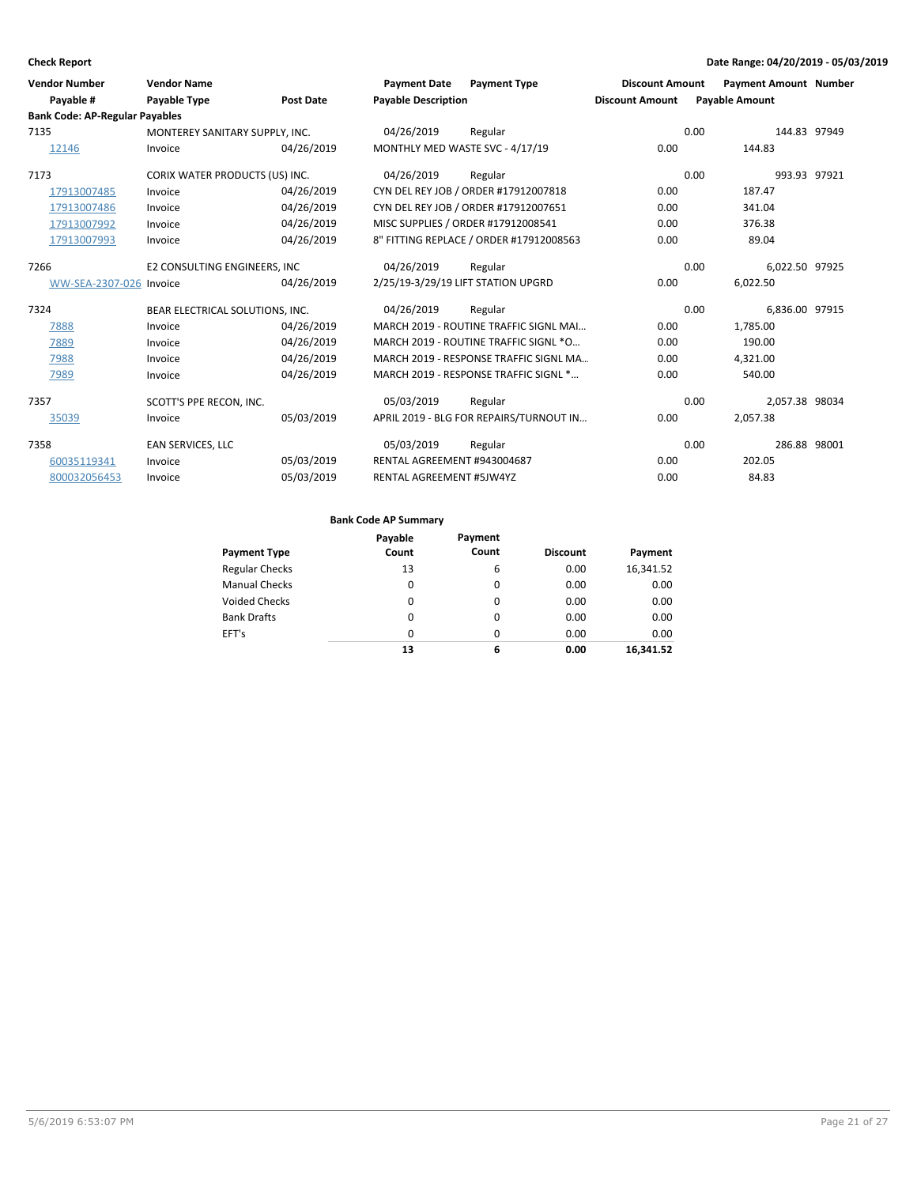| <b>Check Report</b>                   |                                 |                  |                                    |                                         |                        |      | Date Range: 04/20/2019 - 05/03/2019 |  |
|---------------------------------------|---------------------------------|------------------|------------------------------------|-----------------------------------------|------------------------|------|-------------------------------------|--|
| <b>Vendor Number</b>                  | <b>Vendor Name</b>              |                  | <b>Payment Date</b>                | <b>Payment Type</b>                     | <b>Discount Amount</b> |      | <b>Payment Amount Number</b>        |  |
| Payable #                             | Payable Type                    | <b>Post Date</b> | <b>Payable Description</b>         |                                         | <b>Discount Amount</b> |      | <b>Payable Amount</b>               |  |
| <b>Bank Code: AP-Regular Payables</b> |                                 |                  |                                    |                                         |                        |      |                                     |  |
| 7135                                  | MONTEREY SANITARY SUPPLY, INC.  |                  | 04/26/2019                         | Regular                                 |                        | 0.00 | 144.83 97949                        |  |
| 12146                                 | Invoice                         | 04/26/2019       | MONTHLY MED WASTE SVC - 4/17/19    |                                         | 0.00                   |      | 144.83                              |  |
| 7173                                  | CORIX WATER PRODUCTS (US) INC.  |                  | 04/26/2019                         | Regular                                 |                        | 0.00 | 993.93 97921                        |  |
| 17913007485                           | Invoice                         | 04/26/2019       |                                    | CYN DEL REY JOB / ORDER #17912007818    | 0.00                   |      | 187.47                              |  |
| 17913007486                           | Invoice                         | 04/26/2019       |                                    | CYN DEL REY JOB / ORDER #17912007651    | 0.00                   |      | 341.04                              |  |
| 17913007992                           | Invoice                         | 04/26/2019       |                                    | MISC SUPPLIES / ORDER #17912008541      | 0.00                   |      | 376.38                              |  |
| 17913007993                           | Invoice                         | 04/26/2019       |                                    | 8" FITTING REPLACE / ORDER #17912008563 | 0.00                   |      | 89.04                               |  |
| 7266                                  | E2 CONSULTING ENGINEERS, INC    |                  | 04/26/2019                         | Regular                                 |                        | 0.00 | 6,022.50 97925                      |  |
| WW-SEA-2307-026 Invoice               |                                 | 04/26/2019       | 2/25/19-3/29/19 LIFT STATION UPGRD |                                         | 0.00                   |      | 6,022.50                            |  |
| 7324                                  | BEAR ELECTRICAL SOLUTIONS, INC. |                  | 04/26/2019                         | Regular                                 |                        | 0.00 | 6,836.00 97915                      |  |
| 7888                                  | Invoice                         | 04/26/2019       |                                    | MARCH 2019 - ROUTINE TRAFFIC SIGNL MAI  | 0.00                   |      | 1,785.00                            |  |
| 7889                                  | Invoice                         | 04/26/2019       |                                    | MARCH 2019 - ROUTINE TRAFFIC SIGNL *O   | 0.00                   |      | 190.00                              |  |
| 7988                                  | Invoice                         | 04/26/2019       |                                    | MARCH 2019 - RESPONSE TRAFFIC SIGNL MA  | 0.00                   |      | 4,321.00                            |  |
| 7989                                  | Invoice                         | 04/26/2019       |                                    | MARCH 2019 - RESPONSE TRAFFIC SIGNL *   | 0.00                   |      | 540.00                              |  |
| 7357                                  | SCOTT'S PPE RECON, INC.         |                  | 05/03/2019                         | Regular                                 |                        | 0.00 | 2,057.38 98034                      |  |
| 35039                                 | Invoice                         | 05/03/2019       |                                    | APRIL 2019 - BLG FOR REPAIRS/TURNOUT IN | 0.00                   |      | 2,057.38                            |  |
| 7358                                  | EAN SERVICES, LLC               |                  | 05/03/2019                         | Regular                                 |                        | 0.00 | 286.88 98001                        |  |
| 60035119341                           | Invoice                         | 05/03/2019       | RENTAL AGREEMENT #943004687        |                                         | 0.00                   |      | 202.05                              |  |
| 800032056453                          | Invoice                         | 05/03/2019       | RENTAL AGREEMENT #5JW4YZ           |                                         | 0.00                   |      | 84.83                               |  |

|                       | Payable  | Payment  |                 |           |
|-----------------------|----------|----------|-----------------|-----------|
| <b>Payment Type</b>   | Count    | Count    | <b>Discount</b> | Payment   |
| <b>Regular Checks</b> | 13       | 6        | 0.00            | 16,341.52 |
| <b>Manual Checks</b>  | 0        | 0        | 0.00            | 0.00      |
| <b>Voided Checks</b>  | 0        | 0        | 0.00            | 0.00      |
| <b>Bank Drafts</b>    | $\Omega$ | $\Omega$ | 0.00            | 0.00      |
| EFT's                 | $\Omega$ | $\Omega$ | 0.00            | 0.00      |
|                       | 13       | 6        | 0.00            | 16.341.52 |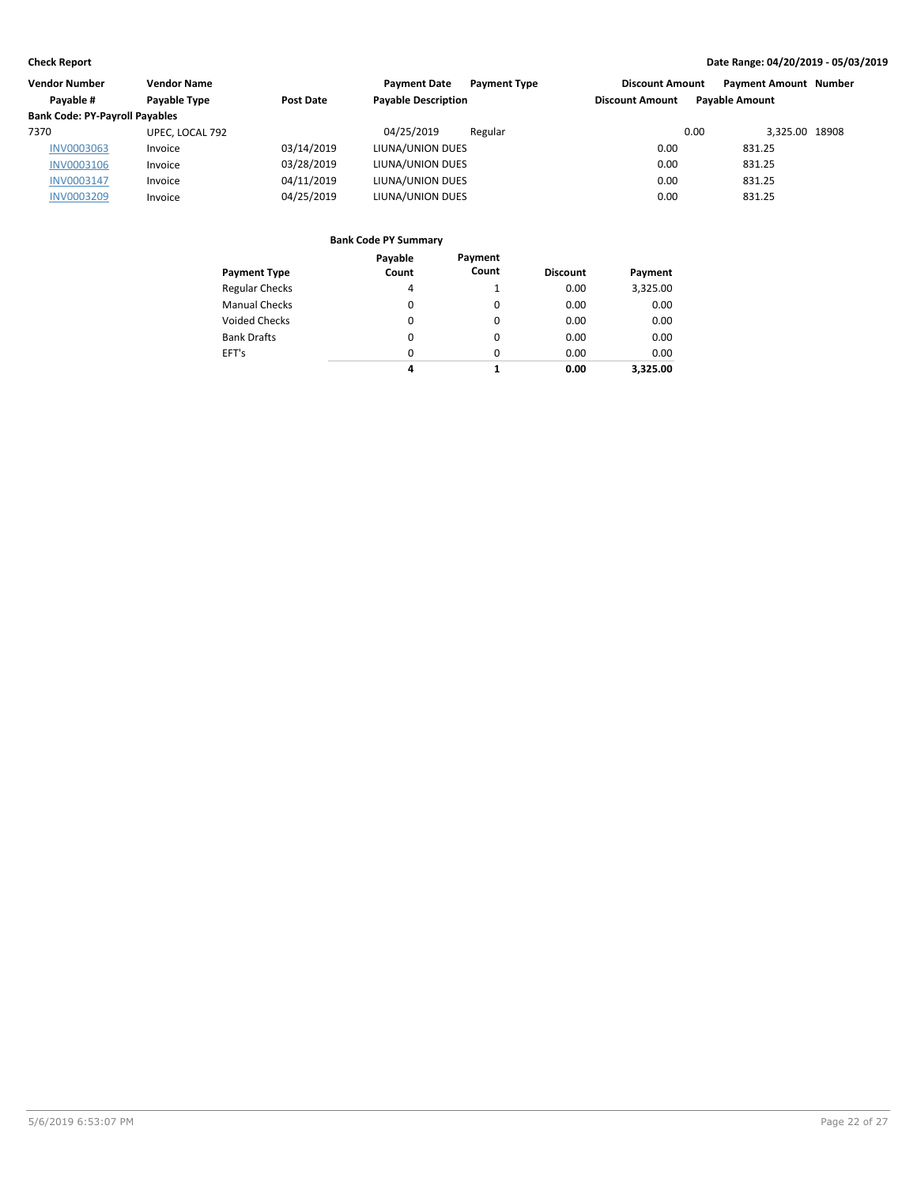| <b>Vendor Number</b>                  | <b>Vendor Name</b> |            | <b>Payment Date</b><br><b>Payment Type</b> | <b>Discount Amount</b> | <b>Payment Amount Number</b> |  |
|---------------------------------------|--------------------|------------|--------------------------------------------|------------------------|------------------------------|--|
| Pavable #                             | Payable Type       | Post Date  | <b>Payable Description</b>                 | <b>Discount Amount</b> | <b>Pavable Amount</b>        |  |
| <b>Bank Code: PY-Payroll Payables</b> |                    |            |                                            |                        |                              |  |
| 7370                                  | UPEC, LOCAL 792    |            | 04/25/2019<br>Regular                      | 0.00                   | 3.325.00 18908               |  |
| <b>INV0003063</b>                     | Invoice            | 03/14/2019 | LIUNA/UNION DUES                           | 0.00                   | 831.25                       |  |
| <b>INV0003106</b>                     | Invoice            | 03/28/2019 | LIUNA/UNION DUES                           | 0.00                   | 831.25                       |  |
| INV0003147                            | Invoice            | 04/11/2019 | LIUNA/UNION DUES                           | 0.00                   | 831.25                       |  |
| <b>INV0003209</b>                     | Invoice            | 04/25/2019 | LIUNA/UNION DUES                           | 0.00                   | 831.25                       |  |
|                                       |                    |            |                                            |                        |                              |  |

|                       | Payable | Payment |                 |          |
|-----------------------|---------|---------|-----------------|----------|
| <b>Payment Type</b>   | Count   | Count   | <b>Discount</b> | Payment  |
| <b>Regular Checks</b> | 4       |         | 0.00            | 3,325.00 |
| <b>Manual Checks</b>  | 0       | 0       | 0.00            | 0.00     |
| <b>Voided Checks</b>  | 0       | 0       | 0.00            | 0.00     |
| <b>Bank Drafts</b>    | 0       | 0       | 0.00            | 0.00     |
| EFT's                 | 0       | 0       | 0.00            | 0.00     |
|                       | 4       | 1       | 0.00            | 3.325.00 |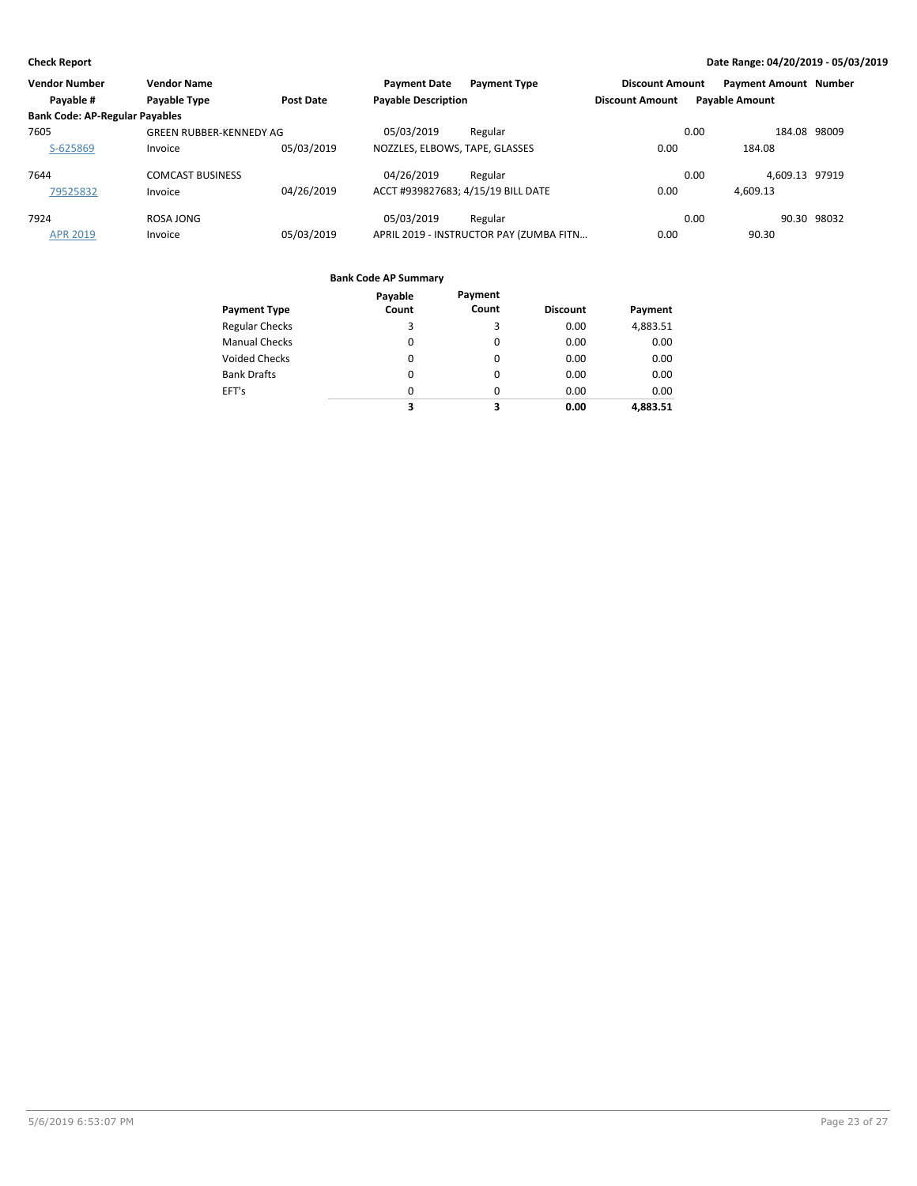| <b>Vendor Number</b>                  | <b>Vendor Name</b>      |                  | <b>Payment Date</b>                | <b>Payment Type</b>                     | <b>Discount Amount</b> | <b>Payment Amount Number</b> |              |
|---------------------------------------|-------------------------|------------------|------------------------------------|-----------------------------------------|------------------------|------------------------------|--------------|
| Payable #                             | Payable Type            | <b>Post Date</b> | <b>Payable Description</b>         |                                         | <b>Discount Amount</b> | <b>Payable Amount</b>        |              |
| <b>Bank Code: AP-Regular Payables</b> |                         |                  |                                    |                                         |                        |                              |              |
| 7605                                  | GREEN RUBBER-KENNEDY AG |                  | 05/03/2019                         | Regular                                 |                        | 0.00                         | 184.08 98009 |
| S-625869                              | Invoice                 | 05/03/2019       | NOZZLES, ELBOWS, TAPE, GLASSES     |                                         | 0.00                   | 184.08                       |              |
| 7644                                  | <b>COMCAST BUSINESS</b> |                  | 04/26/2019                         | Regular                                 |                        | 4,609.13 97919<br>0.00       |              |
| 79525832                              | Invoice                 | 04/26/2019       | ACCT #939827683; 4/15/19 BILL DATE |                                         | 0.00                   | 4,609.13                     |              |
| 7924                                  | ROSA JONG               |                  | 05/03/2019                         | Regular                                 |                        | 0.00                         | 90.30 98032  |
| <b>APR 2019</b>                       | Invoice                 | 05/03/2019       |                                    | APRIL 2019 - INSTRUCTOR PAY (ZUMBA FITN | 0.00                   | 90.30                        |              |

|                       | Payable  | Payment  |                 |          |
|-----------------------|----------|----------|-----------------|----------|
| <b>Payment Type</b>   | Count    | Count    | <b>Discount</b> | Payment  |
| <b>Regular Checks</b> | 3        | 3        | 0.00            | 4,883.51 |
| <b>Manual Checks</b>  | 0        | 0        | 0.00            | 0.00     |
| <b>Voided Checks</b>  | $\Omega$ | 0        | 0.00            | 0.00     |
| <b>Bank Drafts</b>    | 0        | 0        | 0.00            | 0.00     |
| EFT's                 | $\Omega$ | $\Omega$ | 0.00            | 0.00     |
|                       | 3        | 3        | 0.00            | 4,883.51 |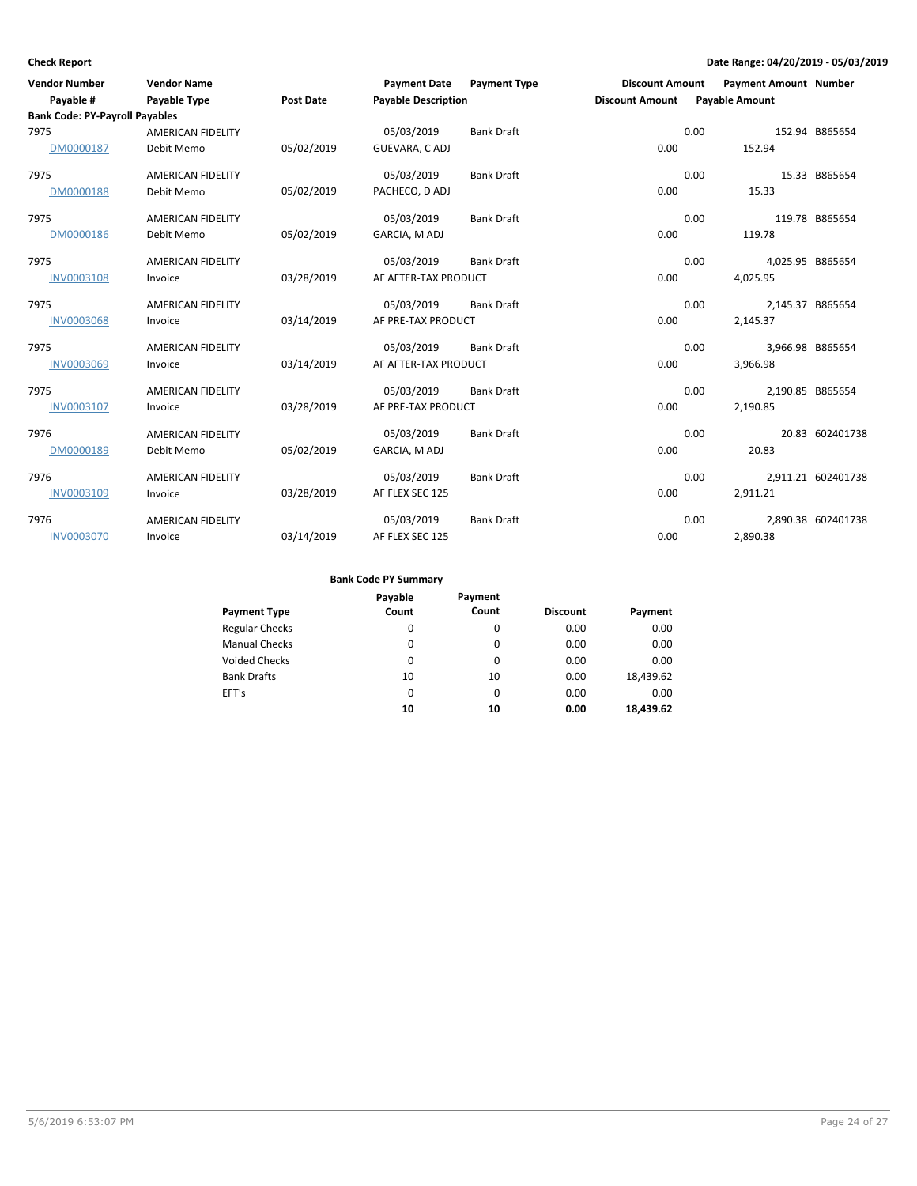| <b>Vendor Number</b>                  | <b>Vendor Name</b>       |                  | <b>Payment Date</b>        | <b>Payment Type</b> | <b>Discount Amount</b> |      | <b>Payment Amount Number</b> |                    |
|---------------------------------------|--------------------------|------------------|----------------------------|---------------------|------------------------|------|------------------------------|--------------------|
| Payable #                             | Payable Type             | <b>Post Date</b> | <b>Payable Description</b> |                     | <b>Discount Amount</b> |      | <b>Payable Amount</b>        |                    |
| <b>Bank Code: PY-Payroll Payables</b> |                          |                  |                            |                     |                        |      |                              |                    |
| 7975                                  | <b>AMERICAN FIDELITY</b> |                  | 05/03/2019                 | <b>Bank Draft</b>   |                        | 0.00 |                              | 152.94 B865654     |
| DM0000187                             | Debit Memo               | 05/02/2019       | GUEVARA, C ADJ             |                     | 0.00                   |      | 152.94                       |                    |
| 7975                                  | <b>AMERICAN FIDELITY</b> |                  | 05/03/2019                 | <b>Bank Draft</b>   |                        | 0.00 |                              | 15.33 B865654      |
| DM0000188                             | Debit Memo               | 05/02/2019       | PACHECO, D ADJ             |                     | 0.00                   |      | 15.33                        |                    |
| 7975                                  | AMERICAN FIDELITY        |                  | 05/03/2019                 | <b>Bank Draft</b>   |                        | 0.00 |                              | 119.78 B865654     |
| DM0000186                             | Debit Memo               | 05/02/2019       | GARCIA, M ADJ              |                     | 0.00                   |      | 119.78                       |                    |
| 7975                                  | <b>AMERICAN FIDELITY</b> |                  | 05/03/2019                 | <b>Bank Draft</b>   |                        | 0.00 | 4,025.95 B865654             |                    |
| <b>INV0003108</b>                     | Invoice                  | 03/28/2019       | AF AFTER-TAX PRODUCT       |                     | 0.00                   |      | 4,025.95                     |                    |
| 7975                                  | <b>AMERICAN FIDELITY</b> |                  | 05/03/2019                 | <b>Bank Draft</b>   |                        | 0.00 | 2,145.37 B865654             |                    |
| <b>INV0003068</b>                     | Invoice                  | 03/14/2019       | AF PRE-TAX PRODUCT         |                     | 0.00                   |      | 2,145.37                     |                    |
| 7975                                  | <b>AMERICAN FIDELITY</b> |                  | 05/03/2019                 | <b>Bank Draft</b>   |                        | 0.00 | 3,966.98 B865654             |                    |
| <b>INV0003069</b>                     | Invoice                  | 03/14/2019       | AF AFTER-TAX PRODUCT       |                     | 0.00                   |      | 3,966.98                     |                    |
| 7975                                  | <b>AMERICAN FIDELITY</b> |                  | 05/03/2019                 | <b>Bank Draft</b>   |                        | 0.00 | 2,190.85 B865654             |                    |
| INV0003107                            | Invoice                  | 03/28/2019       | AF PRE-TAX PRODUCT         |                     | 0.00                   |      | 2,190.85                     |                    |
| 7976                                  | <b>AMERICAN FIDELITY</b> |                  | 05/03/2019                 | <b>Bank Draft</b>   |                        | 0.00 |                              | 20.83 602401738    |
| DM0000189                             | Debit Memo               | 05/02/2019       | GARCIA, M ADJ              |                     | 0.00                   |      | 20.83                        |                    |
| 7976                                  | <b>AMERICAN FIDELITY</b> |                  | 05/03/2019                 | <b>Bank Draft</b>   |                        | 0.00 |                              | 2,911.21 602401738 |
| INV0003109                            | Invoice                  | 03/28/2019       | AF FLEX SEC 125            |                     | 0.00                   |      | 2,911.21                     |                    |
| 7976                                  | AMERICAN FIDELITY        |                  | 05/03/2019                 | <b>Bank Draft</b>   |                        | 0.00 |                              | 2,890.38 602401738 |
| <b>INV0003070</b>                     | Invoice                  | 03/14/2019       | AF FLEX SEC 125            |                     | 0.00                   |      | 2,890.38                     |                    |

| <b>Payment Type</b>   | Payable<br>Count | Payment<br>Count | <b>Discount</b> | Payment   |
|-----------------------|------------------|------------------|-----------------|-----------|
| <b>Regular Checks</b> | 0                | 0                | 0.00            | 0.00      |
| <b>Manual Checks</b>  | 0                | $\Omega$         | 0.00            | 0.00      |
| <b>Voided Checks</b>  | 0                | 0                | 0.00            | 0.00      |
| <b>Bank Drafts</b>    | 10               | 10               | 0.00            | 18,439.62 |
| EFT's                 | 0                | $\Omega$         | 0.00            | 0.00      |
|                       | 10               | 10               | 0.00            | 18.439.62 |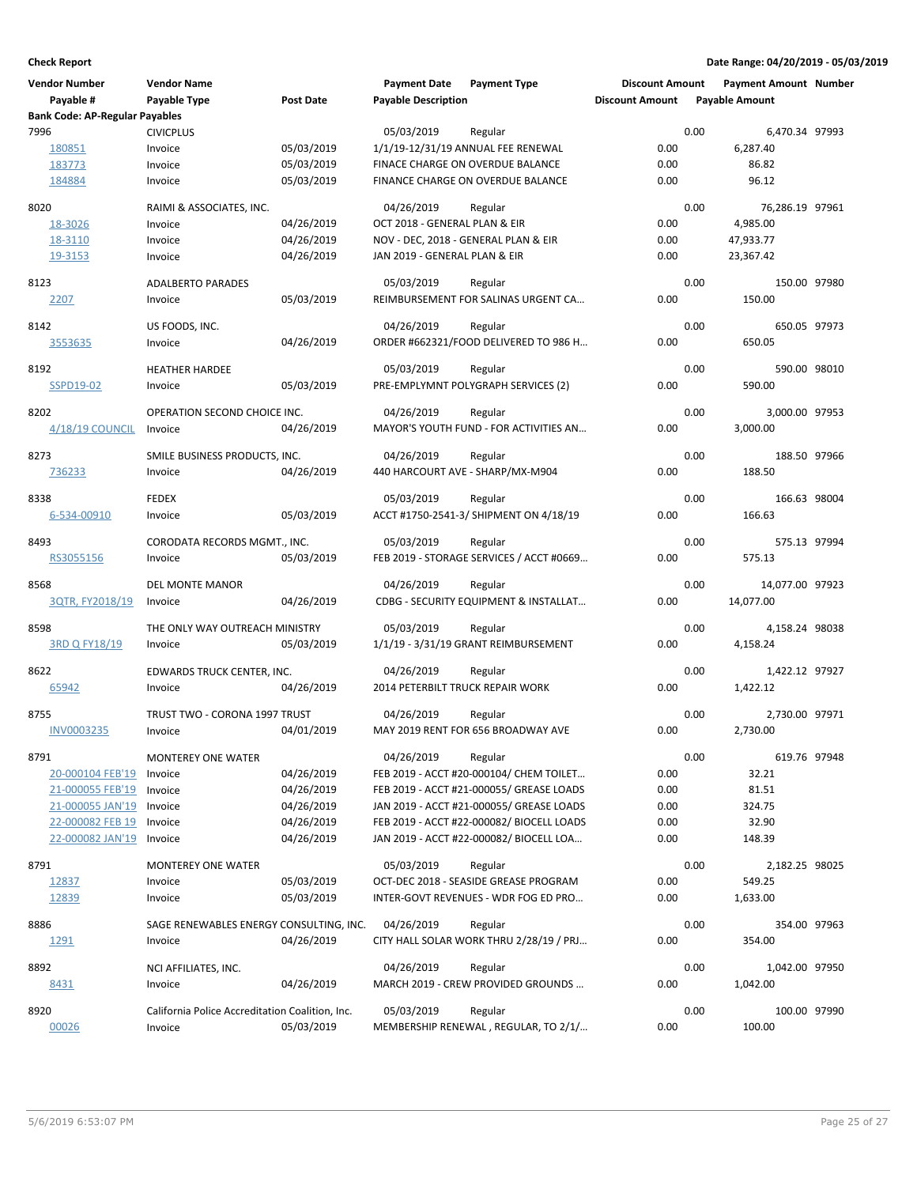| <b>Vendor Number</b>                  | <b>Vendor Name</b>                              |                  | <b>Payment Date</b>              | <b>Payment Type</b>                              | <b>Discount Amount</b> |      | <b>Payment Amount Number</b> |  |
|---------------------------------------|-------------------------------------------------|------------------|----------------------------------|--------------------------------------------------|------------------------|------|------------------------------|--|
| Payable #                             | Payable Type                                    | <b>Post Date</b> | <b>Payable Description</b>       |                                                  | <b>Discount Amount</b> |      | <b>Payable Amount</b>        |  |
| <b>Bank Code: AP-Regular Payables</b> |                                                 |                  |                                  |                                                  |                        |      |                              |  |
| 7996                                  | <b>CIVICPLUS</b>                                |                  | 05/03/2019                       | Regular                                          |                        | 0.00 | 6,470.34 97993               |  |
| 180851                                | Invoice                                         | 05/03/2019       |                                  | 1/1/19-12/31/19 ANNUAL FEE RENEWAL               | 0.00                   |      | 6,287.40                     |  |
| 183773                                | Invoice                                         | 05/03/2019       |                                  | FINACE CHARGE ON OVERDUE BALANCE                 | 0.00                   |      | 86.82                        |  |
| 184884                                | Invoice                                         | 05/03/2019       |                                  | FINANCE CHARGE ON OVERDUE BALANCE                | 0.00                   |      | 96.12                        |  |
| 8020                                  | RAIMI & ASSOCIATES, INC.                        |                  | 04/26/2019                       | Regular                                          |                        | 0.00 | 76,286.19 97961              |  |
| 18-3026                               | Invoice                                         | 04/26/2019       | OCT 2018 - GENERAL PLAN & EIR    |                                                  | 0.00                   |      | 4,985.00                     |  |
| 18-3110                               | Invoice                                         | 04/26/2019       |                                  | NOV - DEC, 2018 - GENERAL PLAN & EIR             | 0.00                   |      | 47,933.77                    |  |
| 19-3153                               | Invoice                                         | 04/26/2019       | JAN 2019 - GENERAL PLAN & EIR    |                                                  | 0.00                   |      | 23,367.42                    |  |
| 8123                                  | <b>ADALBERTO PARADES</b>                        |                  | 05/03/2019                       | Regular                                          |                        | 0.00 | 150.00 97980                 |  |
| 2207                                  | Invoice                                         | 05/03/2019       |                                  | REIMBURSEMENT FOR SALINAS URGENT CA              | 0.00                   |      | 150.00                       |  |
|                                       |                                                 |                  |                                  |                                                  |                        |      |                              |  |
| 8142                                  | US FOODS, INC.                                  |                  | 04/26/2019                       | Regular                                          |                        | 0.00 | 650.05 97973                 |  |
| 3553635                               | Invoice                                         | 04/26/2019       |                                  | ORDER #662321/FOOD DELIVERED TO 986 H            | 0.00                   |      | 650.05                       |  |
| 8192                                  | <b>HEATHER HARDEE</b>                           |                  | 05/03/2019                       | Regular                                          |                        | 0.00 | 590.00 98010                 |  |
| SSPD19-02                             | Invoice                                         | 05/03/2019       |                                  | PRE-EMPLYMNT POLYGRAPH SERVICES (2)              | 0.00                   |      | 590.00                       |  |
| 8202                                  | OPERATION SECOND CHOICE INC.                    |                  | 04/26/2019                       | Regular                                          |                        | 0.00 | 3,000.00 97953               |  |
| $4/18/19$ COUNCIL                     | Invoice                                         | 04/26/2019       |                                  | MAYOR'S YOUTH FUND - FOR ACTIVITIES AN           | 0.00                   |      | 3.000.00                     |  |
|                                       |                                                 |                  |                                  |                                                  |                        |      |                              |  |
| 8273                                  | SMILE BUSINESS PRODUCTS, INC.                   |                  | 04/26/2019                       | Regular                                          |                        | 0.00 | 188.50 97966                 |  |
| 736233                                | Invoice                                         | 04/26/2019       |                                  | 440 HARCOURT AVE - SHARP/MX-M904                 | 0.00                   |      | 188.50                       |  |
|                                       |                                                 |                  |                                  |                                                  |                        |      |                              |  |
| 8338                                  | <b>FEDEX</b>                                    |                  | 05/03/2019                       | Regular                                          | 0.00                   | 0.00 | 166.63 98004<br>166.63       |  |
| 6-534-00910                           | Invoice                                         | 05/03/2019       |                                  | ACCT #1750-2541-3/ SHIPMENT ON 4/18/19           |                        |      |                              |  |
| 8493                                  | CORODATA RECORDS MGMT., INC.                    |                  | 05/03/2019                       | Regular                                          |                        | 0.00 | 575.13 97994                 |  |
| RS3055156                             | Invoice                                         | 05/03/2019       |                                  | FEB 2019 - STORAGE SERVICES / ACCT #0669         | 0.00                   |      | 575.13                       |  |
|                                       |                                                 |                  |                                  |                                                  |                        |      |                              |  |
| 8568                                  | DEL MONTE MANOR                                 | 04/26/2019       | 04/26/2019                       | Regular<br>CDBG - SECURITY EQUIPMENT & INSTALLAT | 0.00                   | 0.00 | 14,077.00 97923<br>14,077.00 |  |
| 3QTR, FY2018/19                       | Invoice                                         |                  |                                  |                                                  |                        |      |                              |  |
| 8598                                  | THE ONLY WAY OUTREACH MINISTRY                  |                  | 05/03/2019                       | Regular                                          |                        | 0.00 | 4,158.24 98038               |  |
| 3RD Q FY18/19                         | Invoice                                         | 05/03/2019       |                                  | 1/1/19 - 3/31/19 GRANT REIMBURSEMENT             | 0.00                   |      | 4,158.24                     |  |
|                                       |                                                 |                  |                                  |                                                  |                        | 0.00 |                              |  |
| 8622                                  | EDWARDS TRUCK CENTER, INC.                      | 04/26/2019       | 04/26/2019                       | Regular                                          | 0.00                   |      | 1,422.12 97927               |  |
| 65942                                 | Invoice                                         |                  | 2014 PETERBILT TRUCK REPAIR WORK |                                                  |                        |      | 1,422.12                     |  |
| 8755                                  | TRUST TWO - CORONA 1997 TRUST                   |                  | 04/26/2019                       | Regular                                          |                        | 0.00 | 2,730.00 97971               |  |
| <b>INV0003235</b>                     | Invoice                                         | 04/01/2019       |                                  | MAY 2019 RENT FOR 656 BROADWAY AVE               | 0.00                   |      | 2.730.00                     |  |
| 8791                                  | <b>MONTEREY ONE WATER</b>                       |                  | 04/26/2019                       | Regular                                          |                        | 0.00 | 619.76 97948                 |  |
| 20-000104 FEB'19                      | Invoice                                         | 04/26/2019       |                                  | FEB 2019 - ACCT #20-000104/ CHEM TOILET          | 0.00                   |      | 32.21                        |  |
| 21-000055 FEB'19                      | Invoice                                         | 04/26/2019       |                                  | FEB 2019 - ACCT #21-000055/ GREASE LOADS         | 0.00                   |      | 81.51                        |  |
| 21-000055 JAN'19                      | Invoice                                         | 04/26/2019       |                                  | JAN 2019 - ACCT #21-000055/ GREASE LOADS         | 0.00                   |      | 324.75                       |  |
| 22-000082 FEB 19                      | Invoice                                         | 04/26/2019       |                                  | FEB 2019 - ACCT #22-000082/ BIOCELL LOADS        | 0.00                   |      | 32.90                        |  |
| 22-000082 JAN'19                      | Invoice                                         | 04/26/2019       |                                  | JAN 2019 - ACCT #22-000082/ BIOCELL LOA          | 0.00                   |      | 148.39                       |  |
|                                       |                                                 |                  |                                  |                                                  |                        | 0.00 |                              |  |
| 8791                                  | <b>MONTEREY ONE WATER</b>                       | 05/03/2019       | 05/03/2019                       | Regular<br>OCT-DEC 2018 - SEASIDE GREASE PROGRAM |                        |      | 2,182.25 98025               |  |
| 12837                                 | Invoice                                         | 05/03/2019       |                                  |                                                  | 0.00<br>0.00           |      | 549.25                       |  |
| 12839                                 | Invoice                                         |                  |                                  | INTER-GOVT REVENUES - WDR FOG ED PRO             |                        |      | 1,633.00                     |  |
| 8886                                  | SAGE RENEWABLES ENERGY CONSULTING, INC.         |                  | 04/26/2019                       | Regular                                          |                        | 0.00 | 354.00 97963                 |  |
| <u> 1291</u>                          | Invoice                                         | 04/26/2019       |                                  | CITY HALL SOLAR WORK THRU 2/28/19 / PRJ          | 0.00                   |      | 354.00                       |  |
| 8892                                  | NCI AFFILIATES, INC.                            |                  | 04/26/2019                       | Regular                                          |                        | 0.00 | 1,042.00 97950               |  |
| 8431                                  | Invoice                                         | 04/26/2019       |                                  | MARCH 2019 - CREW PROVIDED GROUNDS               | 0.00                   |      | 1,042.00                     |  |
|                                       |                                                 |                  |                                  |                                                  |                        |      |                              |  |
| 8920                                  | California Police Accreditation Coalition, Inc. |                  | 05/03/2019                       | Regular                                          |                        | 0.00 | 100.00 97990                 |  |
| 00026                                 | Invoice                                         | 05/03/2019       |                                  | MEMBERSHIP RENEWAL, REGULAR, TO 2/1/             | 0.00                   |      | 100.00                       |  |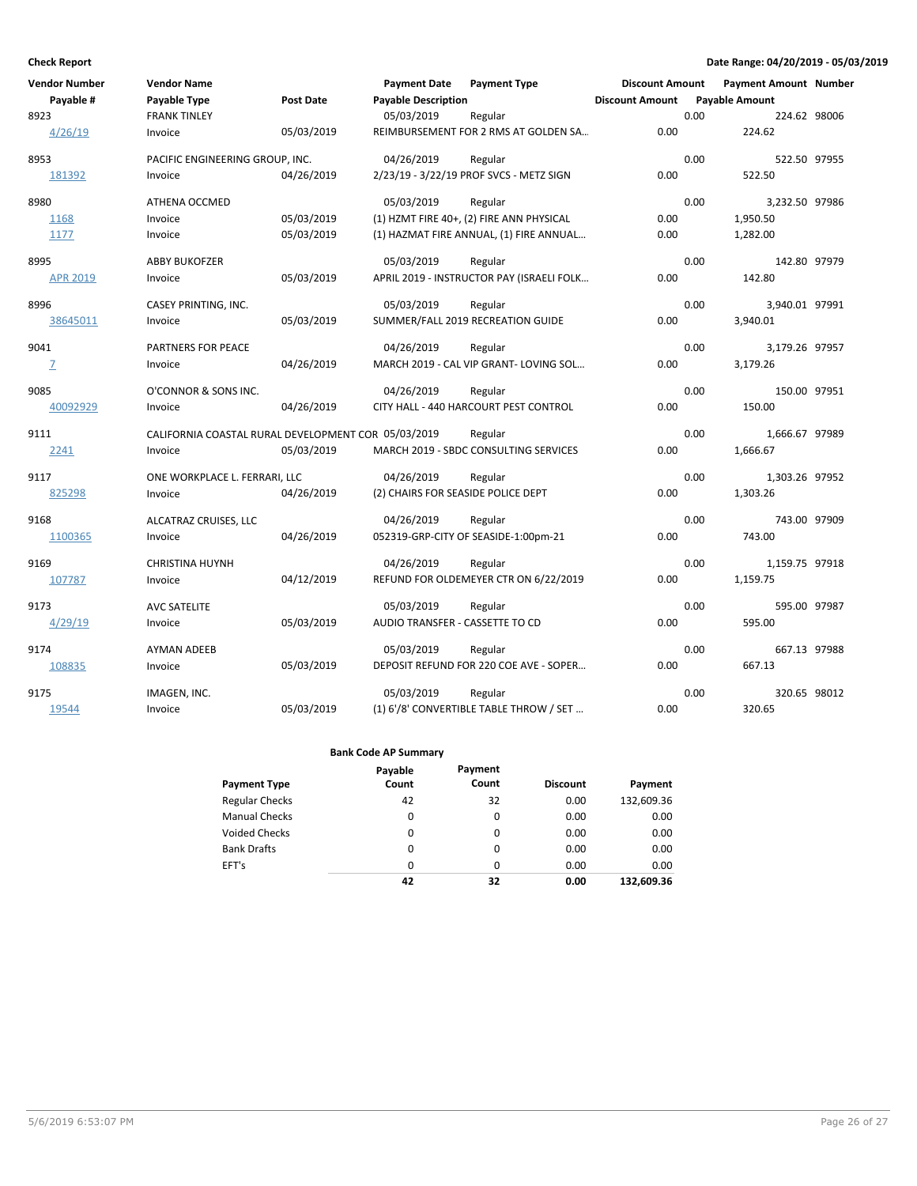| <b>Vendor Number</b> | <b>Vendor Name</b>                                  |            | <b>Payment Date</b>                | <b>Payment Type</b>                       | <b>Discount Amount</b> |      | <b>Payment Amount Number</b> |  |
|----------------------|-----------------------------------------------------|------------|------------------------------------|-------------------------------------------|------------------------|------|------------------------------|--|
| Payable #            | Payable Type                                        | Post Date  | <b>Payable Description</b>         |                                           | <b>Discount Amount</b> |      | <b>Payable Amount</b>        |  |
| 8923                 | <b>FRANK TINLEY</b>                                 |            | 05/03/2019                         | Regular                                   |                        | 0.00 | 224.62 98006                 |  |
| 4/26/19              | Invoice                                             | 05/03/2019 |                                    | REIMBURSEMENT FOR 2 RMS AT GOLDEN SA      | 0.00                   |      | 224.62                       |  |
| 8953                 | PACIFIC ENGINEERING GROUP, INC.                     |            | 04/26/2019                         | Regular                                   |                        | 0.00 | 522.50 97955                 |  |
| 181392               | Invoice                                             | 04/26/2019 |                                    | 2/23/19 - 3/22/19 PROF SVCS - METZ SIGN   | 0.00                   |      | 522.50                       |  |
| 8980                 | ATHENA OCCMED                                       |            | 05/03/2019                         | Regular                                   |                        | 0.00 | 3,232.50 97986               |  |
| 1168                 | Invoice                                             | 05/03/2019 |                                    | (1) HZMT FIRE 40+, (2) FIRE ANN PHYSICAL  | 0.00                   |      | 1,950.50                     |  |
| 1177                 | Invoice                                             | 05/03/2019 |                                    | (1) HAZMAT FIRE ANNUAL, (1) FIRE ANNUAL   | 0.00                   |      | 1,282.00                     |  |
| 8995                 | <b>ABBY BUKOFZER</b>                                |            | 05/03/2019                         | Regular                                   |                        | 0.00 | 142.80 97979                 |  |
| <b>APR 2019</b>      | Invoice                                             | 05/03/2019 |                                    | APRIL 2019 - INSTRUCTOR PAY (ISRAELI FOLK | 0.00                   |      | 142.80                       |  |
| 8996                 | CASEY PRINTING, INC.                                |            | 05/03/2019                         | Regular                                   |                        | 0.00 | 3,940.01 97991               |  |
| 38645011             | Invoice                                             | 05/03/2019 |                                    | SUMMER/FALL 2019 RECREATION GUIDE         | 0.00                   |      | 3,940.01                     |  |
| 9041                 | PARTNERS FOR PEACE                                  |            | 04/26/2019                         | Regular                                   |                        | 0.00 | 3,179.26 97957               |  |
| $\overline{Z}$       | Invoice                                             | 04/26/2019 |                                    | MARCH 2019 - CAL VIP GRANT- LOVING SOL    | 0.00                   |      | 3,179.26                     |  |
| 9085                 | O'CONNOR & SONS INC.                                |            | 04/26/2019                         | Regular                                   |                        | 0.00 | 150.00 97951                 |  |
| 40092929             | Invoice                                             | 04/26/2019 |                                    | CITY HALL - 440 HARCOURT PEST CONTROL     | 0.00                   |      | 150.00                       |  |
| 9111                 | CALIFORNIA COASTAL RURAL DEVELOPMENT COR 05/03/2019 |            |                                    | Regular                                   |                        | 0.00 | 1,666.67 97989               |  |
| 2241                 | Invoice                                             | 05/03/2019 |                                    | MARCH 2019 - SBDC CONSULTING SERVICES     | 0.00                   |      | 1,666.67                     |  |
| 9117                 | ONE WORKPLACE L. FERRARI, LLC                       |            | 04/26/2019                         | Regular                                   |                        | 0.00 | 1,303.26 97952               |  |
| 825298               | Invoice                                             | 04/26/2019 | (2) CHAIRS FOR SEASIDE POLICE DEPT |                                           | 0.00                   |      | 1,303.26                     |  |
| 9168                 | ALCATRAZ CRUISES, LLC                               |            | 04/26/2019                         | Regular                                   |                        | 0.00 | 743.00 97909                 |  |
| 1100365              | Invoice                                             | 04/26/2019 |                                    | 052319-GRP-CITY OF SEASIDE-1:00pm-21      | 0.00                   |      | 743.00                       |  |
| 9169                 | <b>CHRISTINA HUYNH</b>                              |            | 04/26/2019                         | Regular                                   |                        | 0.00 | 1,159.75 97918               |  |
| 107787               | Invoice                                             | 04/12/2019 |                                    | REFUND FOR OLDEMEYER CTR ON 6/22/2019     | 0.00                   |      | 1,159.75                     |  |
| 9173                 | <b>AVC SATELITE</b>                                 |            | 05/03/2019                         | Regular                                   |                        | 0.00 | 595.00 97987                 |  |
| 4/29/19              | Invoice                                             | 05/03/2019 | AUDIO TRANSFER - CASSETTE TO CD    |                                           | 0.00                   |      | 595.00                       |  |
| 9174                 | <b>AYMAN ADEEB</b>                                  |            | 05/03/2019                         | Regular                                   |                        | 0.00 | 667.13 97988                 |  |
| 108835               | Invoice                                             | 05/03/2019 |                                    | DEPOSIT REFUND FOR 220 COE AVE - SOPER    | 0.00                   |      | 667.13                       |  |
| 9175                 | IMAGEN, INC.                                        |            | 05/03/2019                         | Regular                                   |                        | 0.00 | 320.65 98012                 |  |
| 19544                | Invoice                                             | 05/03/2019 |                                    | (1) 6'/8' CONVERTIBLE TABLE THROW / SET   | 0.00                   |      | 320.65                       |  |

|                       | Payable  | Payment |                 |            |
|-----------------------|----------|---------|-----------------|------------|
| <b>Payment Type</b>   | Count    | Count   | <b>Discount</b> | Payment    |
| <b>Regular Checks</b> | 42       | 32      | 0.00            | 132,609.36 |
| <b>Manual Checks</b>  | 0        | 0       | 0.00            | 0.00       |
| <b>Voided Checks</b>  | 0        | 0       | 0.00            | 0.00       |
| <b>Bank Drafts</b>    | 0        | 0       | 0.00            | 0.00       |
| EFT's                 | $\Omega$ | 0       | 0.00            | 0.00       |
|                       | 42       | 32      | 0.00            | 132.609.36 |